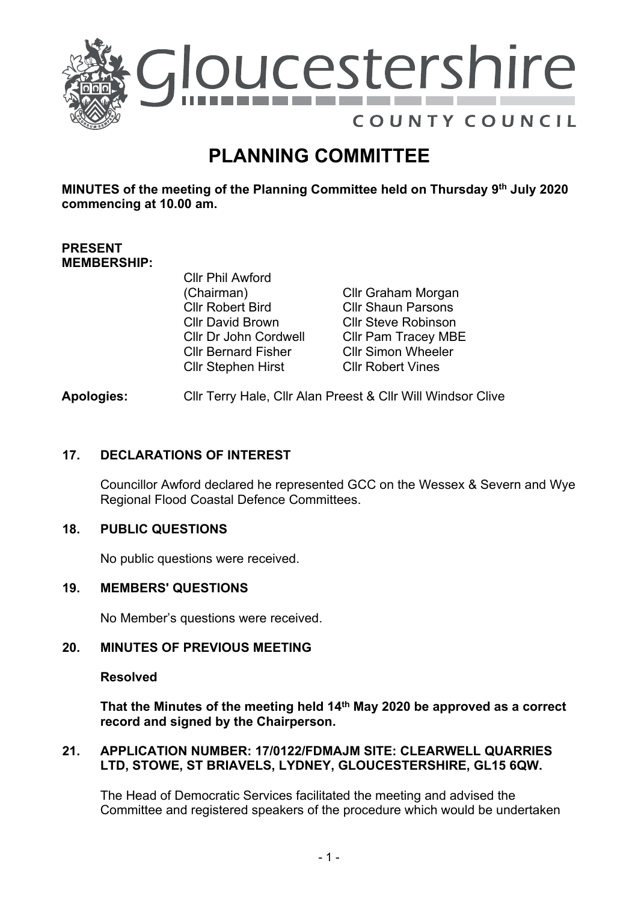

# **PLANNING COMMITTEE**

**MINUTES of the meeting of the Planning Committee held on Thursday 9 th July 2020 commencing at 10.00 am.**

## **PRESENT MEMBERSHIP:**

Cllr Phil Awford (Chairman) Cllr Robert Bird Cllr David Brown Cllr Dr John Cordwell Cllr Bernard Fisher Cllr Stephen Hirst

Cllr Graham Morgan Cllr Shaun Parsons Cllr Steve Robinson Cllr Pam Tracey MBE Cllr Simon Wheeler Cllr Robert Vines

## **Apologies:** Cllr Terry Hale, Cllr Alan Preest & Cllr Will Windsor Clive

## **17. DECLARATIONS OF INTEREST**

Councillor Awford declared he represented GCC on the Wessex & Severn and Wye Regional Flood Coastal Defence Committees.

## **18. PUBLIC QUESTIONS**

No public questions were received.

### **19. MEMBERS' QUESTIONS**

No Member's questions were received.

## **20. MINUTES OF PREVIOUS MEETING**

#### **Resolved**

**That the Minutes of the meeting held 14th May 2020 be approved as a correct record and signed by the Chairperson.** 

#### **21. APPLICATION NUMBER: 17/0122/FDMAJM SITE: CLEARWELL QUARRIES LTD, STOWE, ST BRIAVELS, LYDNEY, GLOUCESTERSHIRE, GL15 6QW.**

The Head of Democratic Services facilitated the meeting and advised the Committee and registered speakers of the procedure which would be undertaken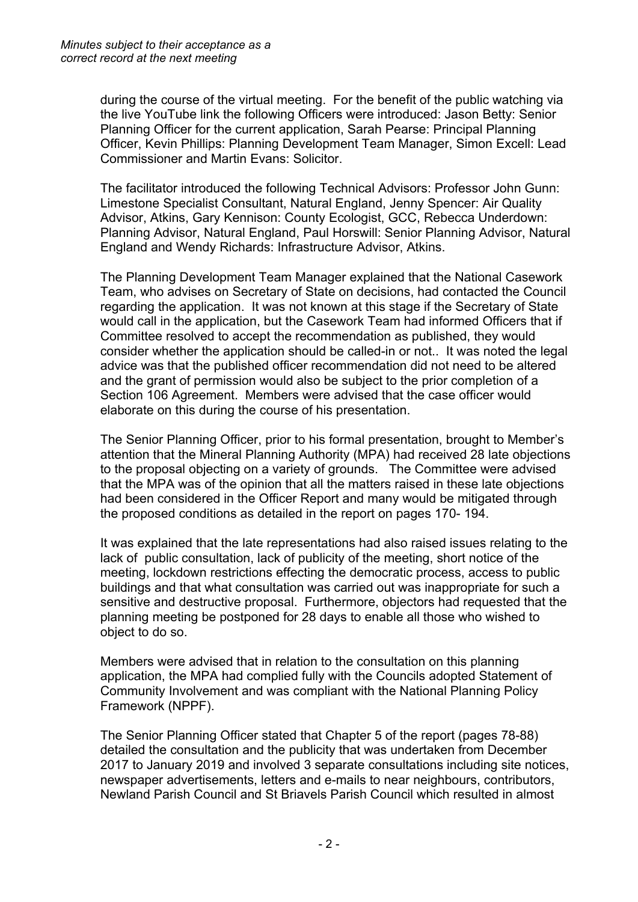during the course of the virtual meeting. For the benefit of the public watching via the live YouTube link the following Officers were introduced: Jason Betty: Senior Planning Officer for the current application, Sarah Pearse: Principal Planning Officer, Kevin Phillips: Planning Development Team Manager, Simon Excell: Lead Commissioner and Martin Evans: Solicitor.

The facilitator introduced the following Technical Advisors: Professor John Gunn: Limestone Specialist Consultant, Natural England, Jenny Spencer: Air Quality Advisor, Atkins, Gary Kennison: County Ecologist, GCC, Rebecca Underdown: Planning Advisor, Natural England, Paul Horswill: Senior Planning Advisor, Natural England and Wendy Richards: Infrastructure Advisor, Atkins.

The Planning Development Team Manager explained that the National Casework Team, who advises on Secretary of State on decisions, had contacted the Council regarding the application. It was not known at this stage if the Secretary of State would call in the application, but the Casework Team had informed Officers that if Committee resolved to accept the recommendation as published, they would consider whether the application should be called-in or not.. It was noted the legal advice was that the published officer recommendation did not need to be altered and the grant of permission would also be subject to the prior completion of a Section 106 Agreement. Members were advised that the case officer would elaborate on this during the course of his presentation.

The Senior Planning Officer, prior to his formal presentation, brought to Member's attention that the Mineral Planning Authority (MPA) had received 28 late objections to the proposal objecting on a variety of grounds. The Committee were advised that the MPA was of the opinion that all the matters raised in these late objections had been considered in the Officer Report and many would be mitigated through the proposed conditions as detailed in the report on pages 170- 194.

It was explained that the late representations had also raised issues relating to the lack of public consultation, lack of publicity of the meeting, short notice of the meeting, lockdown restrictions effecting the democratic process, access to public buildings and that what consultation was carried out was inappropriate for such a sensitive and destructive proposal. Furthermore, objectors had requested that the planning meeting be postponed for 28 days to enable all those who wished to object to do so.

Members were advised that in relation to the consultation on this planning application, the MPA had complied fully with the Councils adopted Statement of Community Involvement and was compliant with the National Planning Policy Framework (NPPF).

The Senior Planning Officer stated that Chapter 5 of the report (pages 78-88) detailed the consultation and the publicity that was undertaken from December 2017 to January 2019 and involved 3 separate consultations including site notices, newspaper advertisements, letters and e-mails to near neighbours, contributors, Newland Parish Council and St Briavels Parish Council which resulted in almost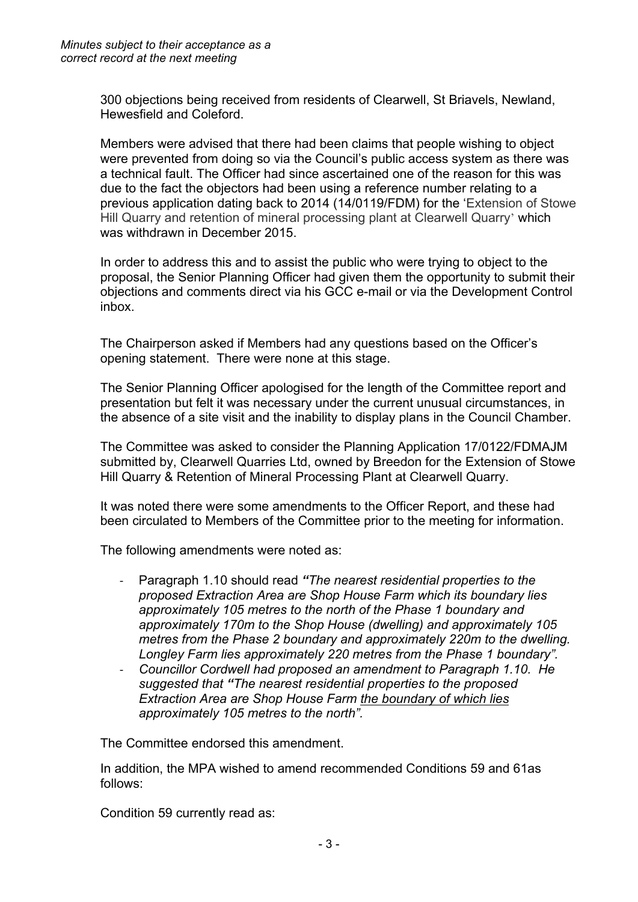300 objections being received from residents of Clearwell, St Briavels, Newland, Hewesfield and Coleford.

Members were advised that there had been claims that people wishing to object were prevented from doing so via the Council's public access system as there was a technical fault. The Officer had since ascertained one of the reason for this was due to the fact the objectors had been using a reference number relating to a previous application dating back to 2014 (14/0119/FDM) for the 'Extension of Stowe Hill Quarry and retention of mineral processing plant at Clearwell Quarry' which was withdrawn in December 2015.

In order to address this and to assist the public who were trying to object to the proposal, the Senior Planning Officer had given them the opportunity to submit their objections and comments direct via his GCC e-mail or via the Development Control inbox.

The Chairperson asked if Members had any questions based on the Officer's opening statement. There were none at this stage.

The Senior Planning Officer apologised for the length of the Committee report and presentation but felt it was necessary under the current unusual circumstances, in the absence of a site visit and the inability to display plans in the Council Chamber.

The Committee was asked to consider the Planning Application 17/0122/FDMAJM submitted by, Clearwell Quarries Ltd, owned by Breedon for the Extension of Stowe Hill Quarry & Retention of Mineral Processing Plant at Clearwell Quarry.

It was noted there were some amendments to the Officer Report, and these had been circulated to Members of the Committee prior to the meeting for information.

The following amendments were noted as:

- Paragraph 1.10 should read *"The nearest residential properties to the proposed Extraction Area are Shop House Farm which its boundary lies approximately 105 metres to the north of the Phase 1 boundary and approximately 170m to the Shop House (dwelling) and approximately 105 metres from the Phase 2 boundary and approximately 220m to the dwelling. Longley Farm lies approximately 220 metres from the Phase 1 boundary".*
- *Councillor Cordwell had proposed an amendment to Paragraph 1.10. He suggested that "The nearest residential properties to the proposed Extraction Area are Shop House Farm the boundary of which lies approximately 105 metres to the north".*

The Committee endorsed this amendment.

In addition, the MPA wished to amend recommended Conditions 59 and 61as follows:

Condition 59 currently read as: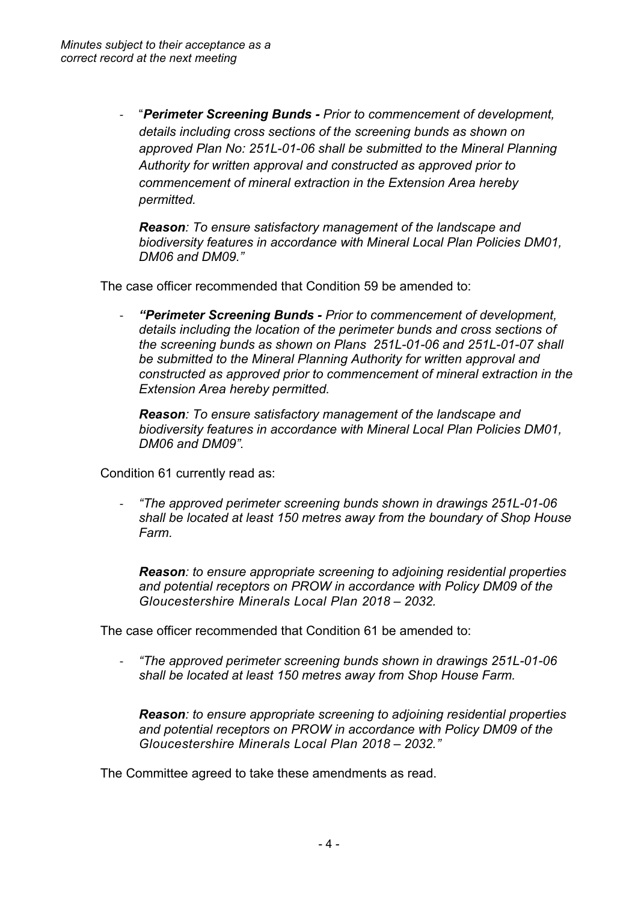- "*Perimeter Screening Bunds - Prior to commencement of development, details including cross sections of the screening bunds as shown on approved Plan No: 251L-01-06 shall be submitted to the Mineral Planning Authority for written approval and constructed as approved prior to commencement of mineral extraction in the Extension Area hereby permitted.*

*Reason: To ensure satisfactory management of the landscape and biodiversity features in accordance with Mineral Local Plan Policies DM01, DM06 and DM09."*

The case officer recommended that Condition 59 be amended to:

- *"Perimeter Screening Bunds - Prior to commencement of development, details including the location of the perimeter bunds and cross sections of the screening bunds as shown on Plans 251L-01-06 and 251L-01-07 shall be submitted to the Mineral Planning Authority for written approval and constructed as approved prior to commencement of mineral extraction in the Extension Area hereby permitted.*

*Reason: To ensure satisfactory management of the landscape and biodiversity features in accordance with Mineral Local Plan Policies DM01, DM06 and DM09".*

Condition 61 currently read as:

- *"The approved perimeter screening bunds shown in drawings 251L-01-06 shall be located at least 150 metres away from the boundary of Shop House Farm.*

*Reason: to ensure appropriate screening to adjoining residential properties and potential receptors on PROW in accordance with Policy DM09 of the Gloucestershire Minerals Local Plan 2018 – 2032.*

The case officer recommended that Condition 61 be amended to:

- *"The approved perimeter screening bunds shown in drawings 251L-01-06 shall be located at least 150 metres away from Shop House Farm.*

*Reason: to ensure appropriate screening to adjoining residential properties and potential receptors on PROW in accordance with Policy DM09 of the Gloucestershire Minerals Local Plan 2018 – 2032."*

The Committee agreed to take these amendments as read.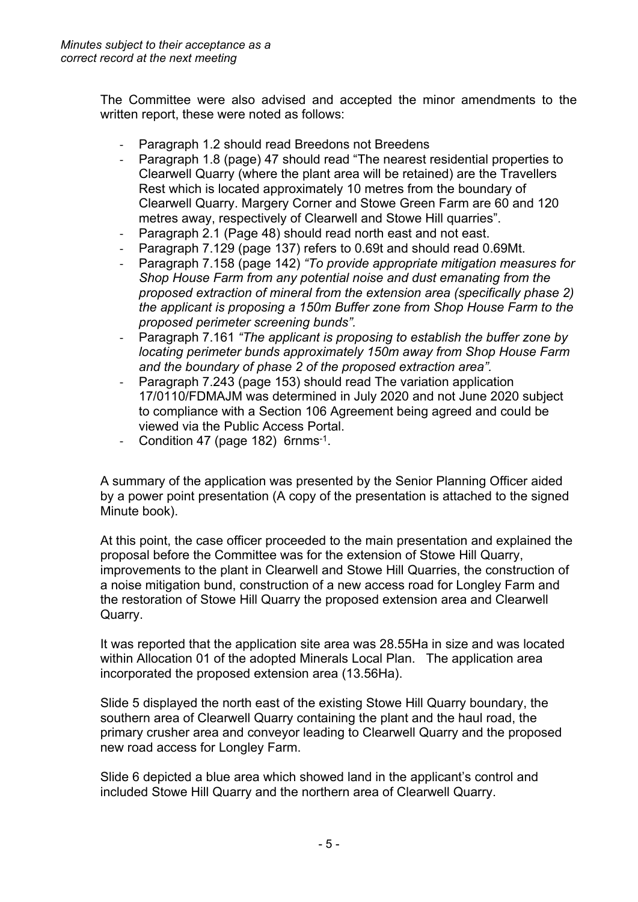The Committee were also advised and accepted the minor amendments to the written report, these were noted as follows:

- Paragraph 1.2 should read Breedons not Breedens
- Paragraph 1.8 (page) 47 should read "The nearest residential properties to Clearwell Quarry (where the plant area will be retained) are the Travellers Rest which is located approximately 10 metres from the boundary of Clearwell Quarry. Margery Corner and Stowe Green Farm are 60 and 120 metres away, respectively of Clearwell and Stowe Hill quarries".
- Paragraph 2.1 (Page 48) should read north east and not east.
- Paragraph 7.129 (page 137) refers to 0.69t and should read 0.69Mt.
- Paragraph 7.158 (page 142) *"To provide appropriate mitigation measures for Shop House Farm from any potential noise and dust emanating from the proposed extraction of mineral from the extension area (specifically phase 2) the applicant is proposing a 150m Buffer zone from Shop House Farm to the proposed perimeter screening bunds".*
- Paragraph 7.161 *"The applicant is proposing to establish the buffer zone by locating perimeter bunds approximately 150m away from Shop House Farm and the boundary of phase 2 of the proposed extraction area".*
- Paragraph 7.243 (page 153) should read The variation application 17/0110/FDMAJM was determined in July 2020 and not June 2020 subject to compliance with a Section 106 Agreement being agreed and could be viewed via the Public Access Portal.
- Condition 47 (page 182) 6rnms<sup>-1</sup>.

A summary of the application was presented by the Senior Planning Officer aided by a power point presentation (A copy of the presentation is attached to the signed Minute book).

At this point, the case officer proceeded to the main presentation and explained the proposal before the Committee was for the extension of Stowe Hill Quarry, improvements to the plant in Clearwell and Stowe Hill Quarries, the construction of a noise mitigation bund, construction of a new access road for Longley Farm and the restoration of Stowe Hill Quarry the proposed extension area and Clearwell Quarry.

It was reported that the application site area was 28.55Ha in size and was located within Allocation 01 of the adopted Minerals Local Plan. The application area incorporated the proposed extension area (13.56Ha).

Slide 5 displayed the north east of the existing Stowe Hill Quarry boundary, the southern area of Clearwell Quarry containing the plant and the haul road, the primary crusher area and conveyor leading to Clearwell Quarry and the proposed new road access for Longley Farm.

Slide 6 depicted a blue area which showed land in the applicant's control and included Stowe Hill Quarry and the northern area of Clearwell Quarry.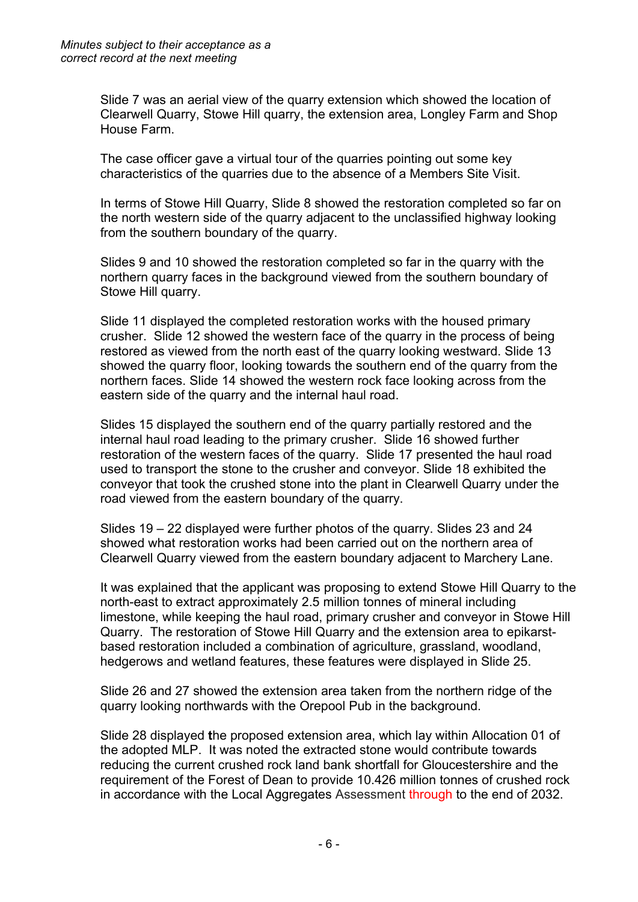Slide 7 was an aerial view of the quarry extension which showed the location of Clearwell Quarry, Stowe Hill quarry, the extension area, Longley Farm and Shop House Farm.

The case officer gave a virtual tour of the quarries pointing out some key characteristics of the quarries due to the absence of a Members Site Visit.

In terms of Stowe Hill Quarry, Slide 8 showed the restoration completed so far on the north western side of the quarry adjacent to the unclassified highway looking from the southern boundary of the quarry.

Slides 9 and 10 showed the restoration completed so far in the quarry with the northern quarry faces in the background viewed from the southern boundary of Stowe Hill quarry.

Slide 11 displayed the completed restoration works with the housed primary crusher. Slide 12 showed the western face of the quarry in the process of being restored as viewed from the north east of the quarry looking westward. Slide 13 showed the quarry floor, looking towards the southern end of the quarry from the northern faces. Slide 14 showed the western rock face looking across from the eastern side of the quarry and the internal haul road.

Slides 15 displayed the southern end of the quarry partially restored and the internal haul road leading to the primary crusher. Slide 16 showed further restoration of the western faces of the quarry. Slide 17 presented the haul road used to transport the stone to the crusher and conveyor. Slide 18 exhibited the conveyor that took the crushed stone into the plant in Clearwell Quarry under the road viewed from the eastern boundary of the quarry.

Slides 19 – 22 displayed were further photos of the quarry. Slides 23 and 24 showed what restoration works had been carried out on the northern area of Clearwell Quarry viewed from the eastern boundary adjacent to Marchery Lane.

It was explained that the applicant was proposing to extend Stowe Hill Quarry to the north-east to extract approximately 2.5 million tonnes of mineral including limestone, while keeping the haul road, primary crusher and conveyor in Stowe Hill Quarry. The restoration of Stowe Hill Quarry and the extension area to epikarstbased restoration included a combination of agriculture, grassland, woodland, hedgerows and wetland features, these features were displayed in Slide 25.

Slide 26 and 27 showed the extension area taken from the northern ridge of the quarry looking northwards with the Orepool Pub in the background.

Slide 28 displayed **t**he proposed extension area, which lay within Allocation 01 of the adopted MLP. It was noted the extracted stone would contribute towards reducing the current crushed rock land bank shortfall for Gloucestershire and the requirement of the Forest of Dean to provide 10.426 million tonnes of crushed rock in accordance with the Local Aggregates Assessment through to the end of 2032.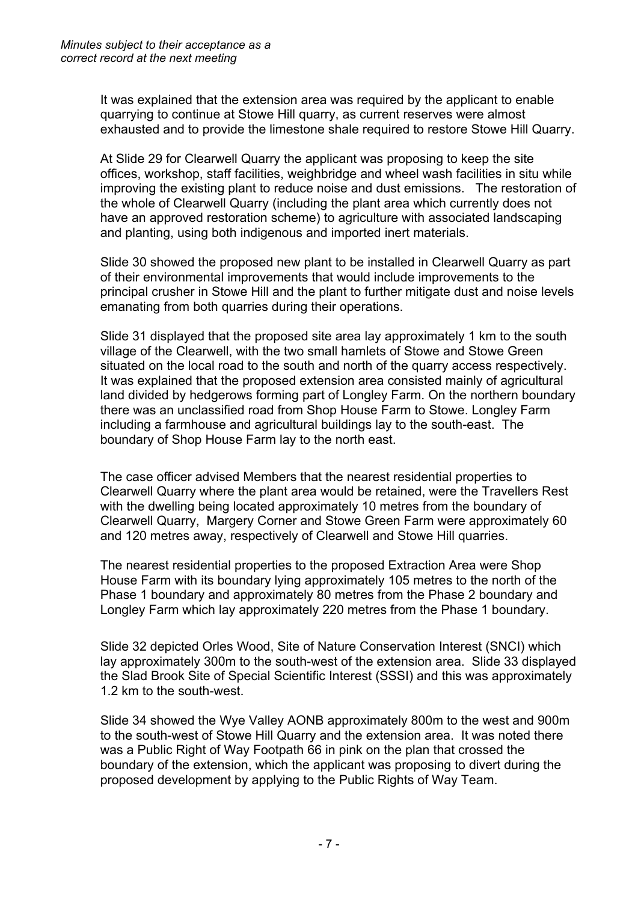It was explained that the extension area was required by the applicant to enable quarrying to continue at Stowe Hill quarry, as current reserves were almost exhausted and to provide the limestone shale required to restore Stowe Hill Quarry.

At Slide 29 for Clearwell Quarry the applicant was proposing to keep the site offices, workshop, staff facilities, weighbridge and wheel wash facilities in situ while improving the existing plant to reduce noise and dust emissions. The restoration of the whole of Clearwell Quarry (including the plant area which currently does not have an approved restoration scheme) to agriculture with associated landscaping and planting, using both indigenous and imported inert materials.

Slide 30 showed the proposed new plant to be installed in Clearwell Quarry as part of their environmental improvements that would include improvements to the principal crusher in Stowe Hill and the plant to further mitigate dust and noise levels emanating from both quarries during their operations.

Slide 31 displayed that the proposed site area lay approximately 1 km to the south village of the Clearwell, with the two small hamlets of Stowe and Stowe Green situated on the local road to the south and north of the quarry access respectively. It was explained that the proposed extension area consisted mainly of agricultural land divided by hedgerows forming part of Longley Farm. On the northern boundary there was an unclassified road from Shop House Farm to Stowe. Longley Farm including a farmhouse and agricultural buildings lay to the south-east. The boundary of Shop House Farm lay to the north east.

The case officer advised Members that the nearest residential properties to Clearwell Quarry where the plant area would be retained, were the Travellers Rest with the dwelling being located approximately 10 metres from the boundary of Clearwell Quarry, Margery Corner and Stowe Green Farm were approximately 60 and 120 metres away, respectively of Clearwell and Stowe Hill quarries.

The nearest residential properties to the proposed Extraction Area were Shop House Farm with its boundary lying approximately 105 metres to the north of the Phase 1 boundary and approximately 80 metres from the Phase 2 boundary and Longley Farm which lay approximately 220 metres from the Phase 1 boundary.

Slide 32 depicted Orles Wood, Site of Nature Conservation Interest (SNCI) which lay approximately 300m to the south-west of the extension area. Slide 33 displayed the Slad Brook Site of Special Scientific Interest (SSSI) and this was approximately 1.2 km to the south-west.

Slide 34 showed the Wye Valley AONB approximately 800m to the west and 900m to the south-west of Stowe Hill Quarry and the extension area. It was noted there was a Public Right of Way Footpath 66 in pink on the plan that crossed the boundary of the extension, which the applicant was proposing to divert during the proposed development by applying to the Public Rights of Way Team.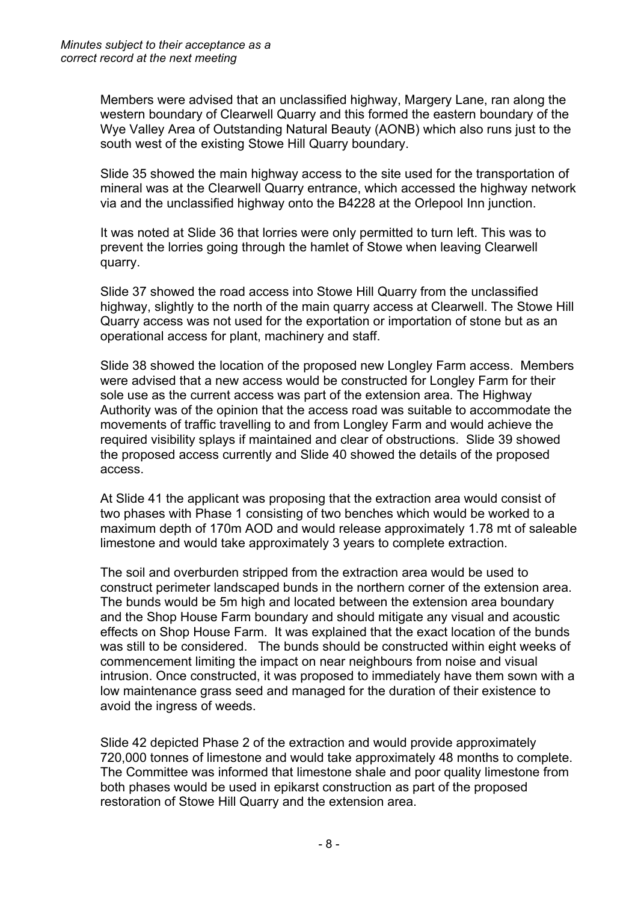Members were advised that an unclassified highway, Margery Lane, ran along the western boundary of Clearwell Quarry and this formed the eastern boundary of the Wye Valley Area of Outstanding Natural Beauty (AONB) which also runs just to the south west of the existing Stowe Hill Quarry boundary.

Slide 35 showed the main highway access to the site used for the transportation of mineral was at the Clearwell Quarry entrance, which accessed the highway network via and the unclassified highway onto the B4228 at the Orlepool Inn junction.

It was noted at Slide 36 that lorries were only permitted to turn left. This was to prevent the lorries going through the hamlet of Stowe when leaving Clearwell quarry.

Slide 37 showed the road access into Stowe Hill Quarry from the unclassified highway, slightly to the north of the main quarry access at Clearwell. The Stowe Hill Quarry access was not used for the exportation or importation of stone but as an operational access for plant, machinery and staff.

Slide 38 showed the location of the proposed new Longley Farm access. Members were advised that a new access would be constructed for Longley Farm for their sole use as the current access was part of the extension area. The Highway Authority was of the opinion that the access road was suitable to accommodate the movements of traffic travelling to and from Longley Farm and would achieve the required visibility splays if maintained and clear of obstructions. Slide 39 showed the proposed access currently and Slide 40 showed the details of the proposed access.

At Slide 41 the applicant was proposing that the extraction area would consist of two phases with Phase 1 consisting of two benches which would be worked to a maximum depth of 170m AOD and would release approximately 1.78 mt of saleable limestone and would take approximately 3 years to complete extraction.

The soil and overburden stripped from the extraction area would be used to construct perimeter landscaped bunds in the northern corner of the extension area. The bunds would be 5m high and located between the extension area boundary and the Shop House Farm boundary and should mitigate any visual and acoustic effects on Shop House Farm. It was explained that the exact location of the bunds was still to be considered. The bunds should be constructed within eight weeks of commencement limiting the impact on near neighbours from noise and visual intrusion. Once constructed, it was proposed to immediately have them sown with a low maintenance grass seed and managed for the duration of their existence to avoid the ingress of weeds.

Slide 42 depicted Phase 2 of the extraction and would provide approximately 720,000 tonnes of limestone and would take approximately 48 months to complete. The Committee was informed that limestone shale and poor quality limestone from both phases would be used in epikarst construction as part of the proposed restoration of Stowe Hill Quarry and the extension area.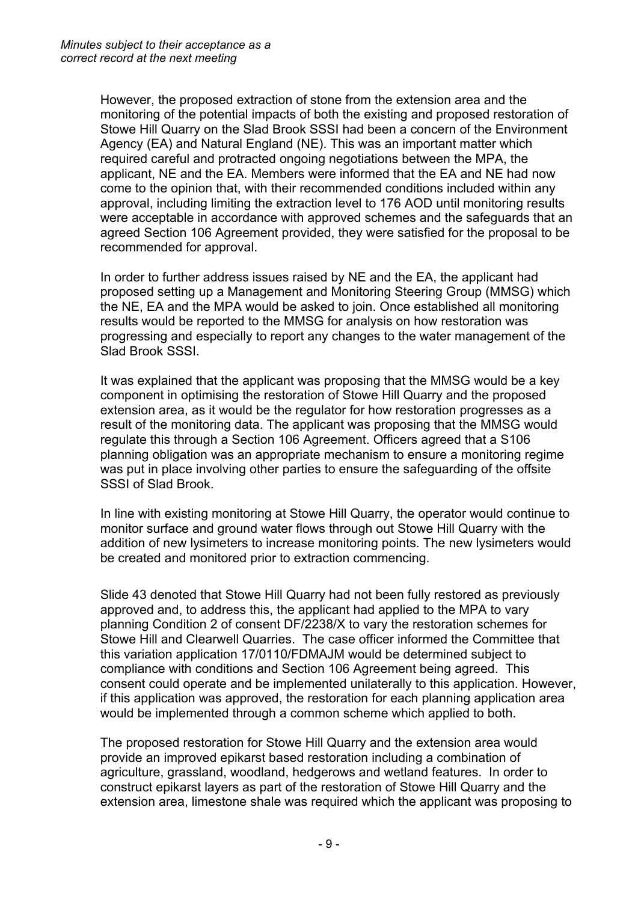However, the proposed extraction of stone from the extension area and the monitoring of the potential impacts of both the existing and proposed restoration of Stowe Hill Quarry on the Slad Brook SSSI had been a concern of the Environment Agency (EA) and Natural England (NE). This was an important matter which required careful and protracted ongoing negotiations between the MPA, the applicant, NE and the EA. Members were informed that the EA and NE had now come to the opinion that, with their recommended conditions included within any approval, including limiting the extraction level to 176 AOD until monitoring results were acceptable in accordance with approved schemes and the safeguards that an agreed Section 106 Agreement provided, they were satisfied for the proposal to be recommended for approval.

In order to further address issues raised by NE and the EA, the applicant had proposed setting up a Management and Monitoring Steering Group (MMSG) which the NE, EA and the MPA would be asked to join. Once established all monitoring results would be reported to the MMSG for analysis on how restoration was progressing and especially to report any changes to the water management of the Slad Brook SSSI.

It was explained that the applicant was proposing that the MMSG would be a key component in optimising the restoration of Stowe Hill Quarry and the proposed extension area, as it would be the regulator for how restoration progresses as a result of the monitoring data. The applicant was proposing that the MMSG would regulate this through a Section 106 Agreement. Officers agreed that a S106 planning obligation was an appropriate mechanism to ensure a monitoring regime was put in place involving other parties to ensure the safeguarding of the offsite SSSI of Slad Brook.

In line with existing monitoring at Stowe Hill Quarry, the operator would continue to monitor surface and ground water flows through out Stowe Hill Quarry with the addition of new lysimeters to increase monitoring points. The new lysimeters would be created and monitored prior to extraction commencing.

Slide 43 denoted that Stowe Hill Quarry had not been fully restored as previously approved and, to address this, the applicant had applied to the MPA to vary planning Condition 2 of consent DF/2238/X to vary the restoration schemes for Stowe Hill and Clearwell Quarries.The case officer informed the Committee that this variation application 17/0110/FDMAJM would be determined subject to compliance with conditions and Section 106 Agreement being agreed. This consent could operate and be implemented unilaterally to this application. However, if this application was approved, the restoration for each planning application area would be implemented through a common scheme which applied to both.

The proposed restoration for Stowe Hill Quarry and the extension area would provide an improved epikarst based restoration including a combination of agriculture, grassland, woodland, hedgerows and wetland features. In order to construct epikarst layers as part of the restoration of Stowe Hill Quarry and the extension area, limestone shale was required which the applicant was proposing to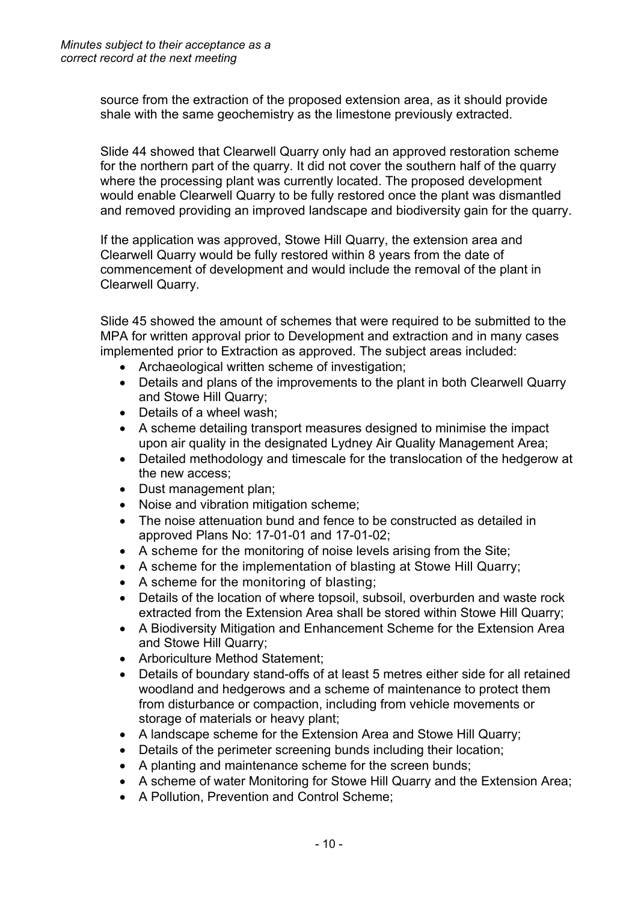source from the extraction of the proposed extension area, as it should provide shale with the same geochemistry as the limestone previously extracted.

Slide 44 showed that Clearwell Quarry only had an approved restoration scheme for the northern part of the quarry. It did not cover the southern half of the quarry where the processing plant was currently located. The proposed development would enable Clearwell Quarry to be fully restored once the plant was dismantled and removed providing an improved landscape and biodiversity gain for the quarry.

If the application was approved, Stowe Hill Quarry, the extension area and Clearwell Quarry would be fully restored within 8 years from the date of commencement of development and would include the removal of the plant in Clearwell Quarry.

Slide 45 showed the amount of schemes that were required to be submitted to the MPA for written approval prior to Development and extraction and in many cases implemented prior to Extraction as approved. The subject areas included:

- Archaeological written scheme of investigation;
- Details and plans of the improvements to the plant in both Clearwell Quarry and Stowe Hill Quarry;
- Details of a wheel wash:
- A scheme detailing transport measures designed to minimise the impact upon air quality in the designated Lydney Air Quality Management Area;
- Detailed methodology and timescale for the translocation of the hedgerow at the new access;
- Dust management plan;
- Noise and vibration mitigation scheme;
- The noise attenuation bund and fence to be constructed as detailed in approved Plans No: 17-01-01 and 17-01-02;
- A scheme for the monitoring of noise levels arising from the Site;
- A scheme for the implementation of blasting at Stowe Hill Quarry;
- A scheme for the monitoring of blasting;
- Details of the location of where topsoil, subsoil, overburden and waste rock extracted from the Extension Area shall be stored within Stowe Hill Quarry;
- A Biodiversity Mitigation and Enhancement Scheme for the Extension Area and Stowe Hill Quarry;
- Arboriculture Method Statement;
- Details of boundary stand-offs of at least 5 metres either side for all retained woodland and hedgerows and a scheme of maintenance to protect them from disturbance or compaction, including from vehicle movements or storage of materials or heavy plant;
- A landscape scheme for the Extension Area and Stowe Hill Quarry;
- Details of the perimeter screening bunds including their location;
- A planting and maintenance scheme for the screen bunds;
- A scheme of water Monitoring for Stowe Hill Quarry and the Extension Area;
- A Pollution, Prevention and Control Scheme: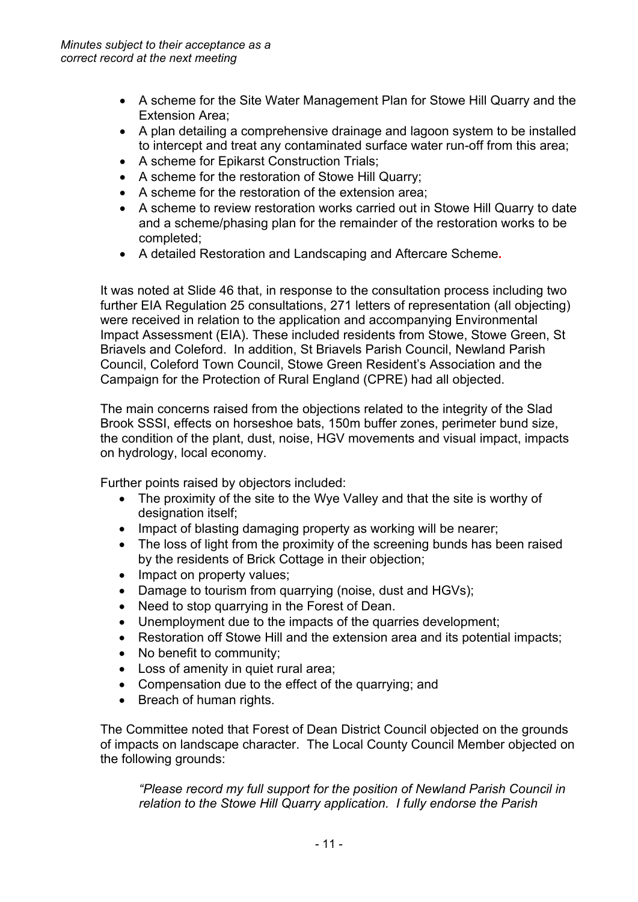- A scheme for the Site Water Management Plan for Stowe Hill Quarry and the Extension Area;
- A plan detailing a comprehensive drainage and lagoon system to be installed to intercept and treat any contaminated surface water run-off from this area;
- A scheme for Epikarst Construction Trials;
- A scheme for the restoration of Stowe Hill Quarry;
- A scheme for the restoration of the extension area;
- A scheme to review restoration works carried out in Stowe Hill Quarry to date and a scheme/phasing plan for the remainder of the restoration works to be completed;
- A detailed Restoration and Landscaping and Aftercare Scheme**.**

It was noted at Slide 46 that, in response to the consultation process including two further EIA Regulation 25 consultations, 271 letters of representation (all objecting) were received in relation to the application and accompanying Environmental Impact Assessment (EIA). These included residents from Stowe, Stowe Green, St Briavels and Coleford. In addition, St Briavels Parish Council, Newland Parish Council, Coleford Town Council, Stowe Green Resident's Association and the Campaign for the Protection of Rural England (CPRE) had all objected.

The main concerns raised from the objections related to the integrity of the Slad Brook SSSI, effects on horseshoe bats, 150m buffer zones, perimeter bund size, the condition of the plant, dust, noise, HGV movements and visual impact, impacts on hydrology, local economy.

Further points raised by objectors included:

- The proximity of the site to the Wye Valley and that the site is worthy of designation itself;
- Impact of blasting damaging property as working will be nearer;
- The loss of light from the proximity of the screening bunds has been raised by the residents of Brick Cottage in their objection;
- Impact on property values;
- Damage to tourism from quarrying (noise, dust and HGVs);
- Need to stop quarrying in the Forest of Dean.
- Unemployment due to the impacts of the quarries development;
- Restoration off Stowe Hill and the extension area and its potential impacts;
- No benefit to community;
- Loss of amenity in quiet rural area;
- Compensation due to the effect of the quarrying; and
- Breach of human rights.

The Committee noted that Forest of Dean District Council objected on the grounds of impacts on landscape character. The Local County Council Member objected on the following grounds:

*"Please record my full support for the position of Newland Parish Council in relation to the Stowe Hill Quarry application. I fully endorse the Parish*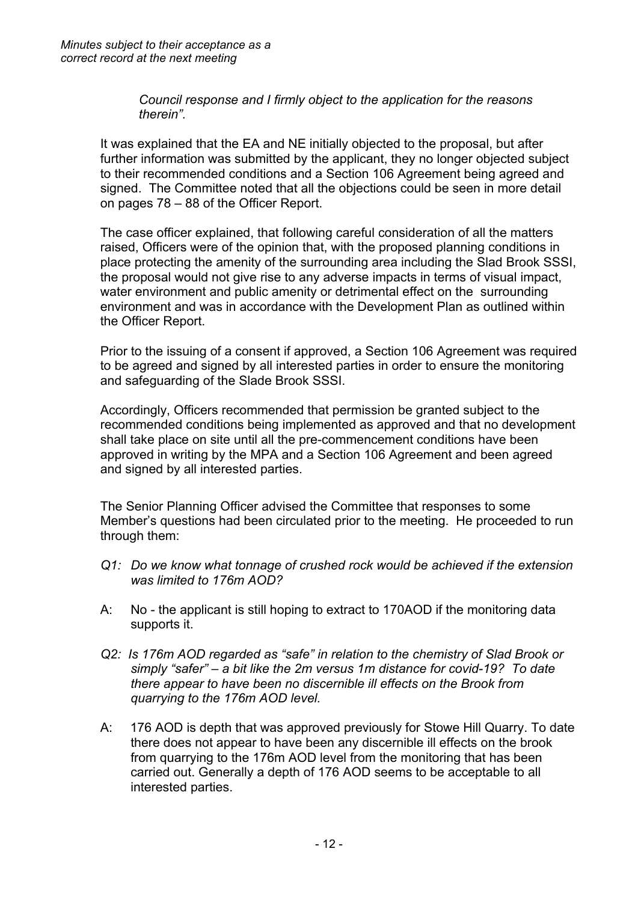*Council response and I firmly object to the application for the reasons therein".*

It was explained that the EA and NE initially objected to the proposal, but after further information was submitted by the applicant, they no longer objected subject to their recommended conditions and a Section 106 Agreement being agreed and signed. The Committee noted that all the objections could be seen in more detail on pages 78 – 88 of the Officer Report.

The case officer explained, that following careful consideration of all the matters raised, Officers were of the opinion that, with the proposed planning conditions in place protecting the amenity of the surrounding area including the Slad Brook SSSI, the proposal would not give rise to any adverse impacts in terms of visual impact, water environment and public amenity or detrimental effect on the surrounding environment and was in accordance with the Development Plan as outlined within the Officer Report.

Prior to the issuing of a consent if approved, a Section 106 Agreement was required to be agreed and signed by all interested parties in order to ensure the monitoring and safeguarding of the Slade Brook SSSI.

Accordingly, Officers recommended that permission be granted subject to the recommended conditions being implemented as approved and that no development shall take place on site until all the pre-commencement conditions have been approved in writing by the MPA and a Section 106 Agreement and been agreed and signed by all interested parties.

The Senior Planning Officer advised the Committee that responses to some Member's questions had been circulated prior to the meeting. He proceeded to run through them:

- *Q1: Do we know what tonnage of crushed rock would be achieved if the extension was limited to 176m AOD?*
- A: No the applicant is still hoping to extract to 170AOD if the monitoring data supports it.
- *Q2: Is 176m AOD regarded as "safe" in relation to the chemistry of Slad Brook or simply "safer" – a bit like the 2m versus 1m distance for covid-19? To date there appear to have been no discernible ill effects on the Brook from quarrying to the 176m AOD level.*
- A: 176 AOD is depth that was approved previously for Stowe Hill Quarry. To date there does not appear to have been any discernible ill effects on the brook from quarrying to the 176m AOD level from the monitoring that has been carried out. Generally a depth of 176 AOD seems to be acceptable to all interested parties.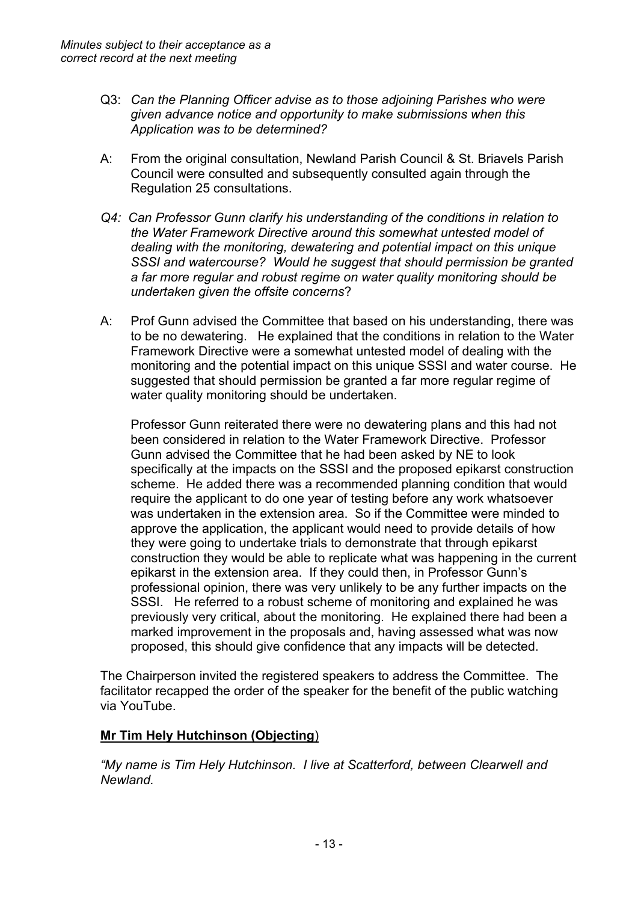- Q3: *Can the Planning Officer advise as to those adjoining Parishes who were given advance notice and opportunity to make submissions when this Application was to be determined?*
- A: From the original consultation, Newland Parish Council & St. Briavels Parish Council were consulted and subsequently consulted again through the Regulation 25 consultations.
- *Q4: Can Professor Gunn clarify his understanding of the conditions in relation to the Water Framework Directive around this somewhat untested model of dealing with the monitoring, dewatering and potential impact on this unique SSSI and watercourse? Would he suggest that should permission be granted a far more regular and robust regime on water quality monitoring should be undertaken given the offsite concerns*?
- A: Prof Gunn advised the Committee that based on his understanding, there was to be no dewatering. He explained that the conditions in relation to the Water Framework Directive were a somewhat untested model of dealing with the monitoring and the potential impact on this unique SSSI and water course. He suggested that should permission be granted a far more regular regime of water quality monitoring should be undertaken.

Professor Gunn reiterated there were no dewatering plans and this had not been considered in relation to the Water Framework Directive. Professor Gunn advised the Committee that he had been asked by NE to look specifically at the impacts on the SSSI and the proposed epikarst construction scheme. He added there was a recommended planning condition that would require the applicant to do one year of testing before any work whatsoever was undertaken in the extension area. So if the Committee were minded to approve the application, the applicant would need to provide details of how they were going to undertake trials to demonstrate that through epikarst construction they would be able to replicate what was happening in the current epikarst in the extension area. If they could then, in Professor Gunn's professional opinion, there was very unlikely to be any further impacts on the SSSI. He referred to a robust scheme of monitoring and explained he was previously very critical, about the monitoring. He explained there had been a marked improvement in the proposals and, having assessed what was now proposed, this should give confidence that any impacts will be detected.

The Chairperson invited the registered speakers to address the Committee. The facilitator recapped the order of the speaker for the benefit of the public watching via YouTube.

# **Mr Tim Hely Hutchinson (Objecting**)

*"My name is Tim Hely Hutchinson. I live at Scatterford, between Clearwell and Newland.*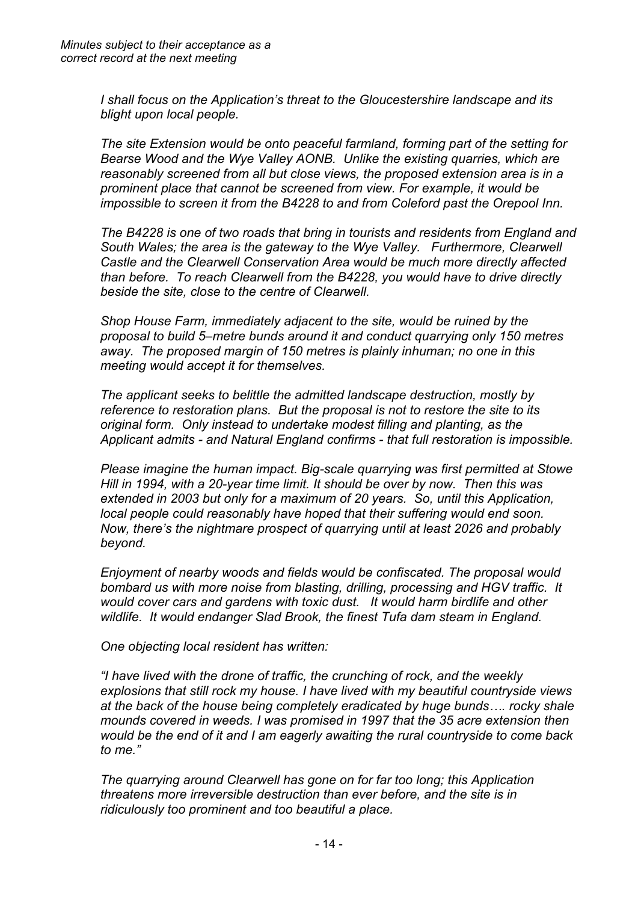*I shall focus on the Application's threat to the Gloucestershire landscape and its blight upon local people.*

*The site Extension would be onto peaceful farmland, forming part of the setting for Bearse Wood and the Wye Valley AONB. Unlike the existing quarries, which are reasonably screened from all but close views, the proposed extension area is in a prominent place that cannot be screened from view. For example, it would be impossible to screen it from the B4228 to and from Coleford past the Orepool Inn.*

*The B4228 is one of two roads that bring in tourists and residents from England and South Wales; the area is the gateway to the Wye Valley. Furthermore, Clearwell Castle and the Clearwell Conservation Area would be much more directly affected than before. To reach Clearwell from the B4228, you would have to drive directly beside the site, close to the centre of Clearwell.*

*Shop House Farm, immediately adjacent to the site, would be ruined by the proposal to build 5–metre bunds around it and conduct quarrying only 150 metres away. The proposed margin of 150 metres is plainly inhuman; no one in this meeting would accept it for themselves.*

*The applicant seeks to belittle the admitted landscape destruction, mostly by reference to restoration plans. But the proposal is not to restore the site to its original form. Only instead to undertake modest filling and planting, as the Applicant admits - and Natural England confirms - that full restoration is impossible.* 

*Please imagine the human impact. Big-scale quarrying was first permitted at Stowe Hill in 1994, with a 20-year time limit. It should be over by now. Then this was extended in 2003 but only for a maximum of 20 years. So, until this Application, local people could reasonably have hoped that their suffering would end soon. Now, there's the nightmare prospect of quarrying until at least 2026 and probably beyond.*

*Enjoyment of nearby woods and fields would be confiscated. The proposal would bombard us with more noise from blasting, drilling, processing and HGV traffic. It would cover cars and gardens with toxic dust. It would harm birdlife and other wildlife. It would endanger Slad Brook, the finest Tufa dam steam in England.*

*One objecting local resident has written:*

*"I have lived with the drone of traffic, the crunching of rock, and the weekly explosions that still rock my house. I have lived with my beautiful countryside views at the back of the house being completely eradicated by huge bunds…. rocky shale mounds covered in weeds. I was promised in 1997 that the 35 acre extension then would be the end of it and I am eagerly awaiting the rural countryside to come back to me."*

*The quarrying around Clearwell has gone on for far too long; this Application threatens more irreversible destruction than ever before, and the site is in ridiculously too prominent and too beautiful a place.*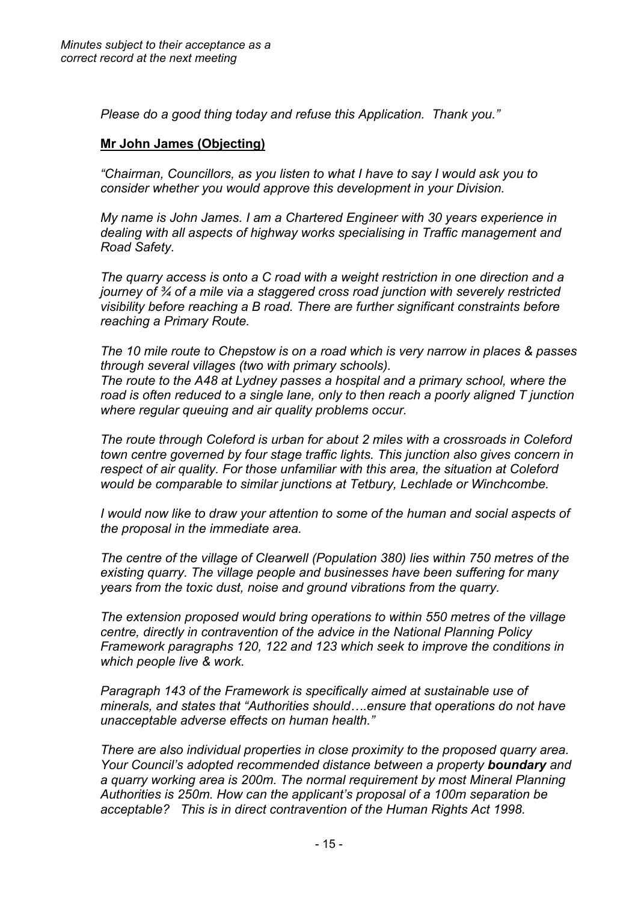*Please do a good thing today and refuse this Application. Thank you."*

## **Mr John James (Objecting)**

*"Chairman, Councillors, as you listen to what I have to say I would ask you to consider whether you would approve this development in your Division.*

*My name is John James. I am a Chartered Engineer with 30 years experience in dealing with all aspects of highway works specialising in Traffic management and Road Safety.*

*The quarry access is onto a C road with a weight restriction in one direction and a journey of ¾ of a mile via a staggered cross road junction with severely restricted visibility before reaching a B road. There are further significant constraints before reaching a Primary Route.*

*The 10 mile route to Chepstow is on a road which is very narrow in places & passes through several villages (two with primary schools). The route to the A48 at Lydney passes a hospital and a primary school, where the road is often reduced to a single lane, only to then reach a poorly aligned T junction where regular queuing and air quality problems occur.*

*The route through Coleford is urban for about 2 miles with a crossroads in Coleford town centre governed by four stage traffic lights. This junction also gives concern in respect of air quality. For those unfamiliar with this area, the situation at Coleford would be comparable to similar junctions at Tetbury, Lechlade or Winchcombe.*

*I would now like to draw your attention to some of the human and social aspects of the proposal in the immediate area.*

*The centre of the village of Clearwell (Population 380) lies within 750 metres of the existing quarry. The village people and businesses have been suffering for many years from the toxic dust, noise and ground vibrations from the quarry.* 

*The extension proposed would bring operations to within 550 metres of the village centre, directly in contravention of the advice in the National Planning Policy Framework paragraphs 120, 122 and 123 which seek to improve the conditions in which people live & work.*

*Paragraph 143 of the Framework is specifically aimed at sustainable use of minerals, and states that "Authorities should….ensure that operations do not have unacceptable adverse effects on human health."*

*There are also individual properties in close proximity to the proposed quarry area. Your Council's adopted recommended distance between a property boundary and a quarry working area is 200m. The normal requirement by most Mineral Planning Authorities is 250m. How can the applicant's proposal of a 100m separation be acceptable? This is in direct contravention of the Human Rights Act 1998.*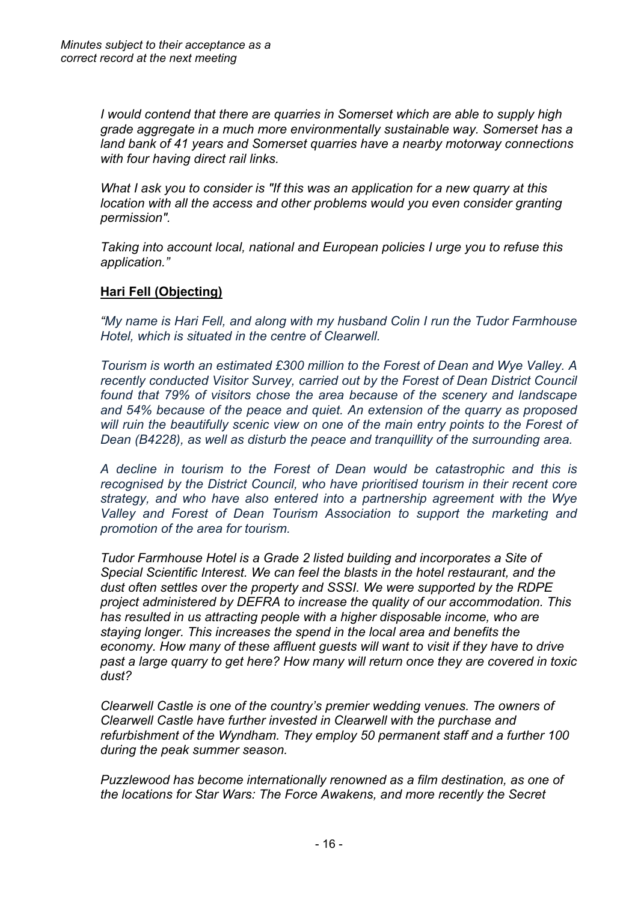*I would contend that there are quarries in Somerset which are able to supply high grade aggregate in a much more environmentally sustainable way. Somerset has a land bank of 41 years and Somerset quarries have a nearby motorway connections with four having direct rail links.*

*What I ask you to consider is "If this was an application for a new quarry at this location with all the access and other problems would you even consider granting permission".*

*Taking into account local, national and European policies I urge you to refuse this application."*

## **Hari Fell (Objecting)**

*"My name is Hari Fell, and along with my husband Colin I run the Tudor Farmhouse Hotel, which is situated in the centre of Clearwell.*

*Tourism is worth an estimated £300 million to the Forest of Dean and Wye Valley. A recently conducted Visitor Survey, carried out by the Forest of Dean District Council found that 79% of visitors chose the area because of the scenery and landscape and 54% because of the peace and quiet. An extension of the quarry as proposed will ruin the beautifully scenic view on one of the main entry points to the Forest of Dean (B4228), as well as disturb the peace and tranquillity of the surrounding area.*

*A decline in tourism to the Forest of Dean would be catastrophic and this is recognised by the District Council, who have prioritised tourism in their recent core strategy, and who have also entered into a partnership agreement with the Wye Valley and Forest of Dean Tourism Association to support the marketing and promotion of the area for tourism.*

*Tudor Farmhouse Hotel is a Grade 2 listed building and incorporates a Site of Special Scientific Interest. We can feel the blasts in the hotel restaurant, and the dust often settles over the property and SSSI. We were supported by the RDPE project administered by DEFRA to increase the quality of our accommodation. This has resulted in us attracting people with a higher disposable income, who are staying longer. This increases the spend in the local area and benefits the economy. How many of these affluent guests will want to visit if they have to drive past a large quarry to get here? How many will return once they are covered in toxic dust?*

*Clearwell Castle is one of the country's premier wedding venues. The owners of Clearwell Castle have further invested in Clearwell with the purchase and refurbishment of the Wyndham. They employ 50 permanent staff and a further 100 during the peak summer season.*

*Puzzlewood has become internationally renowned as a film destination, as one of the locations for Star Wars: The Force Awakens, and more recently the Secret*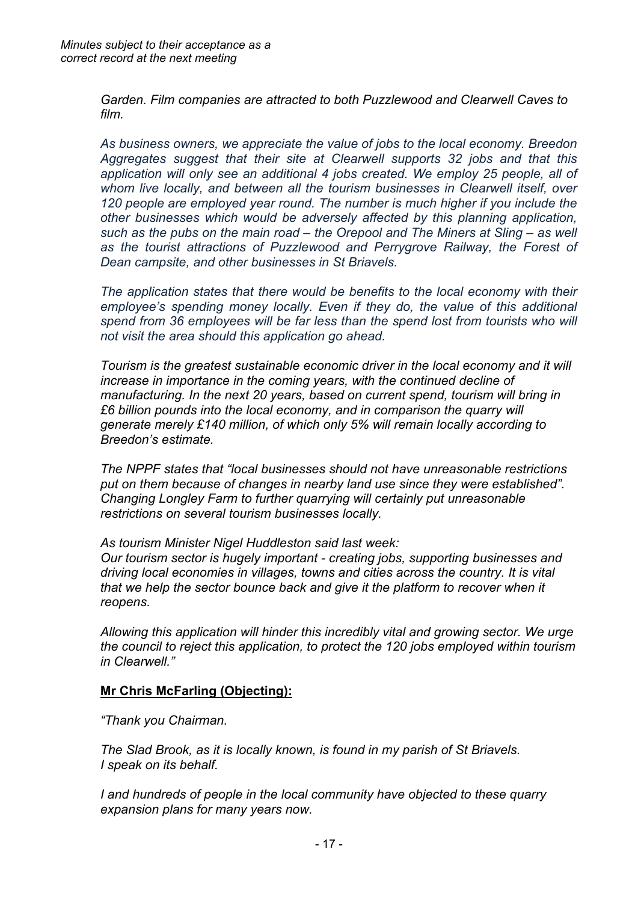*Garden. Film companies are attracted to both Puzzlewood and Clearwell Caves to film.*

*As business owners, we appreciate the value of jobs to the local economy. Breedon Aggregates suggest that their site at Clearwell supports 32 jobs and that this application will only see an additional 4 jobs created. We employ 25 people, all of whom live locally, and between all the tourism businesses in Clearwell itself, over 120 people are employed year round. The number is much higher if you include the other businesses which would be adversely affected by this planning application, such as the pubs on the main road – the Orepool and The Miners at Sling – as well as the tourist attractions of Puzzlewood and Perrygrove Railway, the Forest of Dean campsite, and other businesses in St Briavels.*

*The application states that there would be benefits to the local economy with their employee's spending money locally. Even if they do, the value of this additional spend from 36 employees will be far less than the spend lost from tourists who will not visit the area should this application go ahead.*

*Tourism is the greatest sustainable economic driver in the local economy and it will increase in importance in the coming years, with the continued decline of manufacturing. In the next 20 years, based on current spend, tourism will bring in £6 billion pounds into the local economy, and in comparison the quarry will generate merely £140 million, of which only 5% will remain locally according to Breedon's estimate.*

*The NPPF states that "local businesses should not have unreasonable restrictions put on them because of changes in nearby land use since they were established". Changing Longley Farm to further quarrying will certainly put unreasonable restrictions on several tourism businesses locally.*

*As tourism Minister Nigel Huddleston said last week:*

*Our tourism sector is hugely important - creating jobs, supporting businesses and driving local economies in villages, towns and cities across the country. It is vital that we help the sector bounce back and give it the platform to recover when it reopens.*

*Allowing this application will hinder this incredibly vital and growing sector. We urge the council to reject this application, to protect the 120 jobs employed within tourism in Clearwell."*

## **Mr Chris McFarling (Objecting):**

*"Thank you Chairman.*

*The Slad Brook, as it is locally known, is found in my parish of St Briavels. I speak on its behalf.*

*I and hundreds of people in the local community have objected to these quarry expansion plans for many years now.*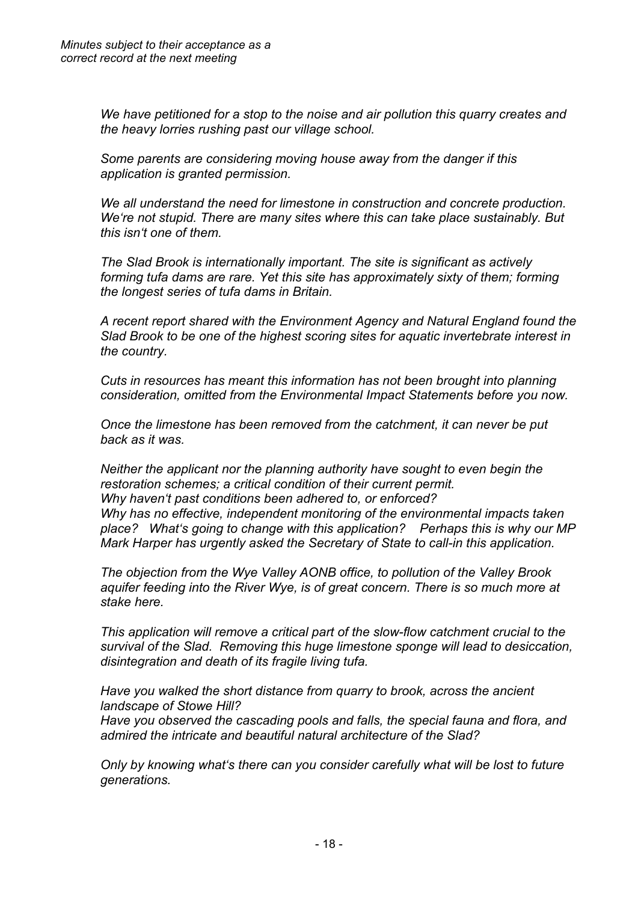*We have petitioned for a stop to the noise and air pollution this quarry creates and the heavy lorries rushing past our village school.* 

*Some parents are considering moving house away from the danger if this application is granted permission.*

*We all understand the need for limestone in construction and concrete production. We're not stupid. There are many sites where this can take place sustainably. But this isn't one of them.* 

*The Slad Brook is internationally important. The site is significant as actively forming tufa dams are rare. Yet this site has approximately sixty of them; forming the longest series of tufa dams in Britain.* 

*A recent report shared with the Environment Agency and Natural England found the Slad Brook to be one of the highest scoring sites for aquatic invertebrate interest in the country.* 

*Cuts in resources has meant this information has not been brought into planning consideration, omitted from the Environmental Impact Statements before you now.*

*Once the limestone has been removed from the catchment, it can never be put back as it was.* 

*Neither the applicant nor the planning authority have sought to even begin the restoration schemes; a critical condition of their current permit. Why haven't past conditions been adhered to, or enforced? Why has no effective, independent monitoring of the environmental impacts taken place? What's going to change with this application? Perhaps this is why our MP Mark Harper has urgently asked the Secretary of State to call-in this application.*

*The objection from the Wye Valley AONB office, to pollution of the Valley Brook aquifer feeding into the River Wye, is of great concern. There is so much more at stake here.*

*This application will remove a critical part of the slow-flow catchment crucial to the survival of the Slad. Removing this huge limestone sponge will lead to desiccation, disintegration and death of its fragile living tufa.*

*Have you walked the short distance from quarry to brook, across the ancient landscape of Stowe Hill?*

*Have you observed the cascading pools and falls, the special fauna and flora, and admired the intricate and beautiful natural architecture of the Slad?*

*Only by knowing what's there can you consider carefully what will be lost to future generations.*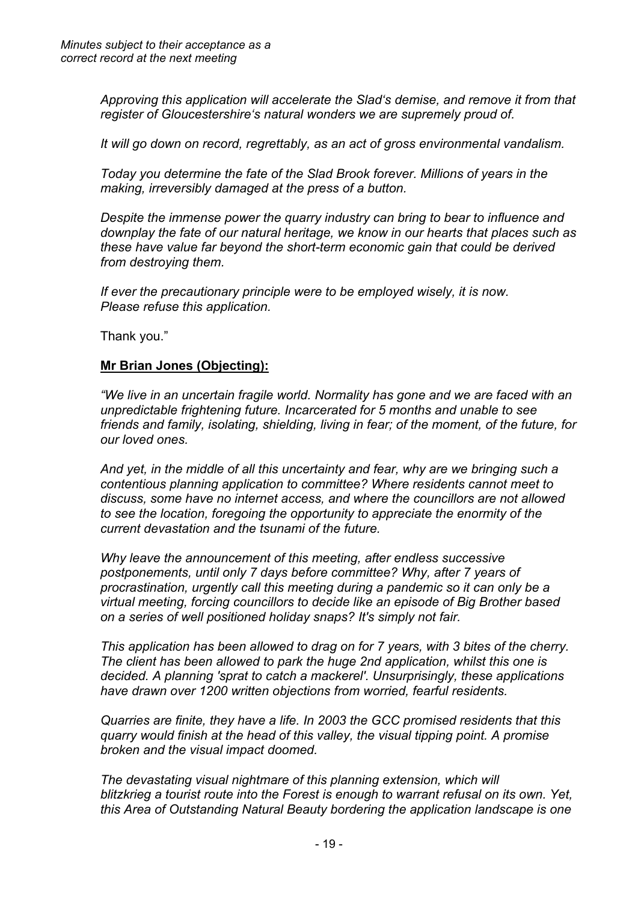*Approving this application will accelerate the Slad's demise, and remove it from that register of Gloucestershire's natural wonders we are supremely proud of.* 

*It will go down on record, regrettably, as an act of gross environmental vandalism.*

*Today you determine the fate of the Slad Brook forever. Millions of years in the making, irreversibly damaged at the press of a button.*

*Despite the immense power the quarry industry can bring to bear to influence and downplay the fate of our natural heritage, we know in our hearts that places such as these have value far beyond the short-term economic gain that could be derived from destroying them.* 

*If ever the precautionary principle were to be employed wisely, it is now. Please refuse this application.*

Thank you."

## **Mr Brian Jones (Objecting):**

*"We live in an uncertain fragile world. Normality has gone and we are faced with an unpredictable frightening future. Incarcerated for 5 months and unable to see friends and family, isolating, shielding, living in fear; of the moment, of the future, for our loved ones.*

*And yet, in the middle of all this uncertainty and fear, why are we bringing such a contentious planning application to committee? Where residents cannot meet to discuss, some have no internet access, and where the councillors are not allowed to see the location, foregoing the opportunity to appreciate the enormity of the current devastation and the tsunami of the future.*

*Why leave the announcement of this meeting, after endless successive postponements, until only 7 days before committee? Why, after 7 years of procrastination, urgently call this meeting during a pandemic so it can only be a virtual meeting, forcing councillors to decide like an episode of Big Brother based on a series of well positioned holiday snaps? It's simply not fair.*

*This application has been allowed to drag on for 7 years, with 3 bites of the cherry. The client has been allowed to park the huge 2nd application, whilst this one is decided. A planning 'sprat to catch a mackerel'. Unsurprisingly, these applications have drawn over 1200 written objections from worried, fearful residents.*

*Quarries are finite, they have a life. In 2003 the GCC promised residents that this quarry would finish at the head of this valley, the visual tipping point. A promise broken and the visual impact doomed.*

*The devastating visual nightmare of this planning extension, which will blitzkrieg a tourist route into the Forest is enough to warrant refusal on its own. Yet, this Area of Outstanding Natural Beauty bordering the application landscape is one*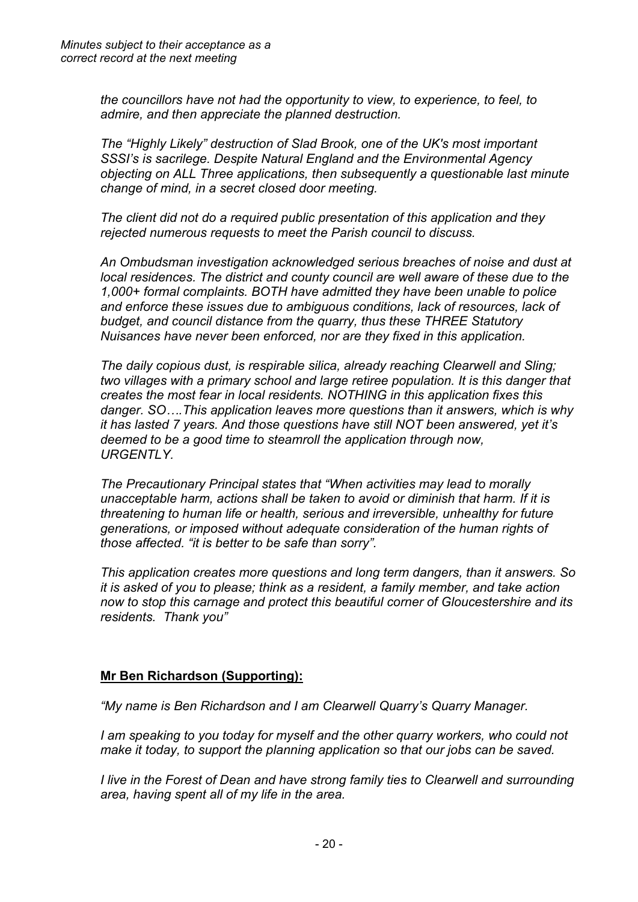*the councillors have not had the opportunity to view, to experience, to feel, to admire, and then appreciate the planned destruction.*

*The "Highly Likely" destruction of Slad Brook, one of the UK's most important SSSI's is sacrilege. Despite Natural England and the Environmental Agency objecting on ALL Three applications, then subsequently a questionable last minute change of mind, in a secret closed door meeting.*

*The client did not do a required public presentation of this application and they rejected numerous requests to meet the Parish council to discuss.*

*An Ombudsman investigation acknowledged serious breaches of noise and dust at local residences. The district and county council are well aware of these due to the 1,000+ formal complaints. BOTH have admitted they have been unable to police and enforce these issues due to ambiguous conditions, lack of resources, lack of budget, and council distance from the quarry, thus these THREE Statutory Nuisances have never been enforced, nor are they fixed in this application.*

*The daily copious dust, is respirable silica, already reaching Clearwell and Sling; two villages with a primary school and large retiree population. It is this danger that creates the most fear in local residents. NOTHING in this application fixes this danger. SO….This application leaves more questions than it answers, which is why it has lasted 7 years. And those questions have still NOT been answered, yet it's deemed to be a good time to steamroll the application through now, URGENTLY.*

*The Precautionary Principal states that "When activities may lead to morally unacceptable harm, actions shall be taken to avoid or diminish that harm. If it is threatening to human life or health, serious and irreversible, unhealthy for future generations, or imposed without adequate consideration of the human rights of those affected. "it is better to be safe than sorry".* 

*This application creates more questions and long term dangers, than it answers. So it is asked of you to please; think as a resident, a family member, and take action now to stop this carnage and protect this beautiful corner of Gloucestershire and its residents. Thank you"*

# **Mr Ben Richardson (Supporting):**

*"My name is Ben Richardson and I am Clearwell Quarry's Quarry Manager.*

*I am speaking to you today for myself and the other quarry workers, who could not make it today, to support the planning application so that our jobs can be saved.*

*I live in the Forest of Dean and have strong family ties to Clearwell and surrounding area, having spent all of my life in the area.*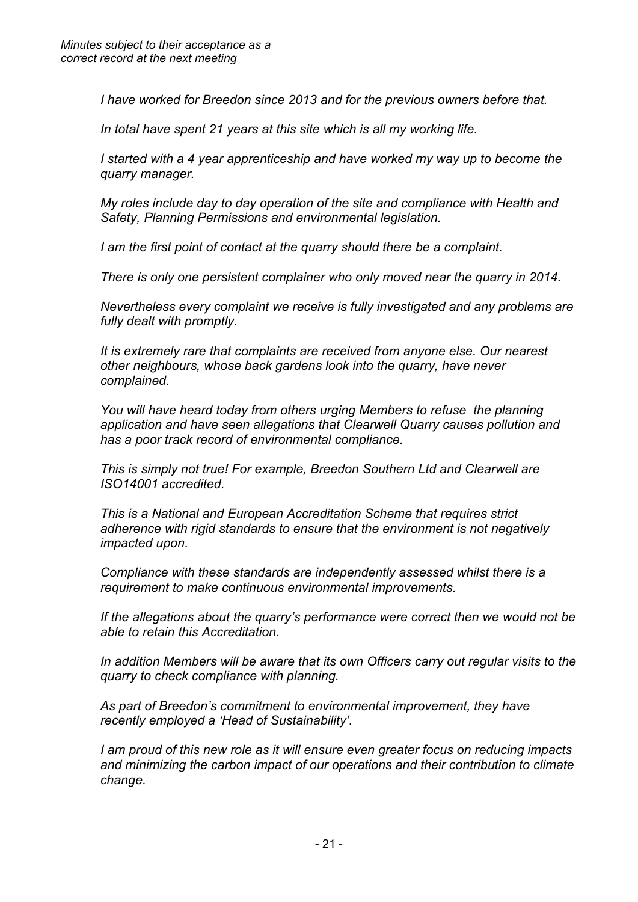*I have worked for Breedon since 2013 and for the previous owners before that.*

*In total have spent 21 years at this site which is all my working life.* 

*I started with a 4 year apprenticeship and have worked my way up to become the quarry manager.*

*My roles include day to day operation of the site and compliance with Health and Safety, Planning Permissions and environmental legislation.*

*I am the first point of contact at the quarry should there be a complaint.*

*There is only one persistent complainer who only moved near the quarry in 2014.*

*Nevertheless every complaint we receive is fully investigated and any problems are fully dealt with promptly.*

*It is extremely rare that complaints are received from anyone else. Our nearest other neighbours, whose back gardens look into the quarry, have never complained.*

*You will have heard today from others urging Members to refuse the planning application and have seen allegations that Clearwell Quarry causes pollution and has a poor track record of environmental compliance.* 

*This is simply not true! For example, Breedon Southern Ltd and Clearwell are ISO14001 accredited.*

*This is a National and European Accreditation Scheme that requires strict adherence with rigid standards to ensure that the environment is not negatively impacted upon.*

*Compliance with these standards are independently assessed whilst there is a requirement to make continuous environmental improvements.*

*If the allegations about the quarry's performance were correct then we would not be able to retain this Accreditation.* 

*In addition Members will be aware that its own Officers carry out regular visits to the quarry to check compliance with planning.*

*As part of Breedon's commitment to environmental improvement, they have recently employed a 'Head of Sustainability'.*

*I am proud of this new role as it will ensure even greater focus on reducing impacts and minimizing the carbon impact of our operations and their contribution to climate change.*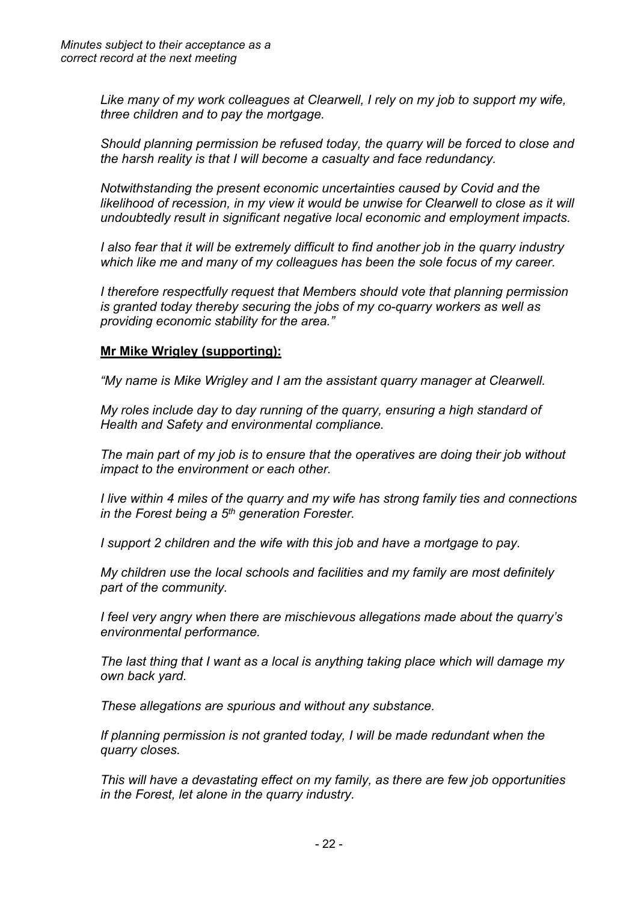*Like many of my work colleagues at Clearwell, I rely on my job to support my wife, three children and to pay the mortgage.* 

*Should planning permission be refused today, the quarry will be forced to close and the harsh reality is that I will become a casualty and face redundancy.*

*Notwithstanding the present economic uncertainties caused by Covid and the likelihood of recession, in my view it would be unwise for Clearwell to close as it will undoubtedly result in significant negative local economic and employment impacts.* 

*I also fear that it will be extremely difficult to find another job in the quarry industry which like me and many of my colleagues has been the sole focus of my career.* 

*I therefore respectfully request that Members should vote that planning permission is granted today thereby securing the jobs of my co-quarry workers as well as providing economic stability for the area."*

### **Mr Mike Wrigley (supporting):**

*"My name is Mike Wrigley and I am the assistant quarry manager at Clearwell.*

*My roles include day to day running of the quarry, ensuring a high standard of Health and Safety and environmental compliance.*

*The main part of my job is to ensure that the operatives are doing their job without impact to the environment or each other.*

*I live within 4 miles of the quarry and my wife has strong family ties and connections in the Forest being a 5 th generation Forester.*

*I support 2 children and the wife with this job and have a mortgage to pay.*

*My children use the local schools and facilities and my family are most definitely part of the community.*

*I feel very angry when there are mischievous allegations made about the quarry's environmental performance.*

*The last thing that I want as a local is anything taking place which will damage my own back yard.*

*These allegations are spurious and without any substance.*

*If planning permission is not granted today, I will be made redundant when the quarry closes.*

*This will have a devastating effect on my family, as there are few job opportunities in the Forest, let alone in the quarry industry.*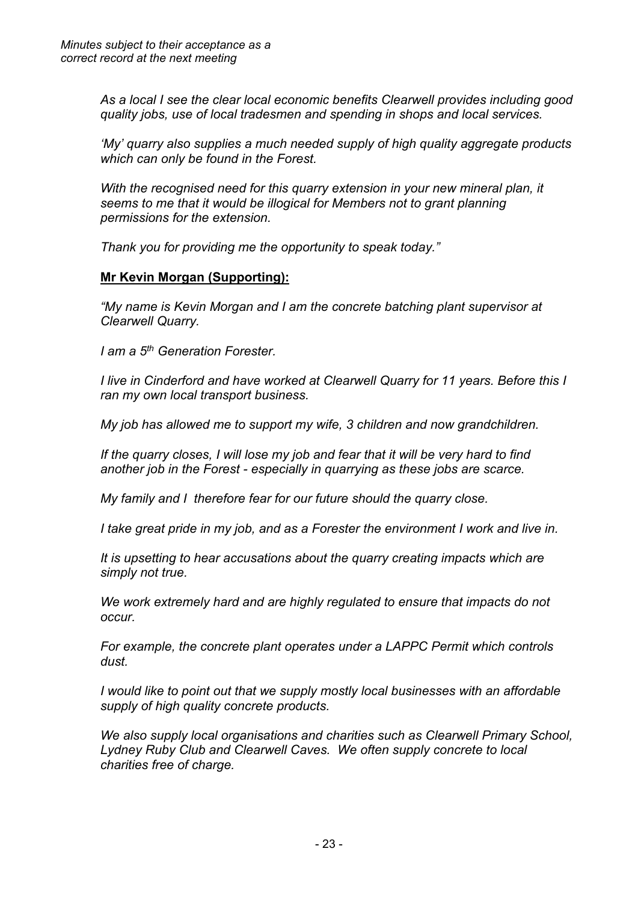*As a local I see the clear local economic benefits Clearwell provides including good quality jobs, use of local tradesmen and spending in shops and local services.* 

*'My' quarry also supplies a much needed supply of high quality aggregate products which can only be found in the Forest.*

*With the recognised need for this quarry extension in your new mineral plan, it seems to me that it would be illogical for Members not to grant planning permissions for the extension.* 

*Thank you for providing me the opportunity to speak today."*

## **Mr Kevin Morgan (Supporting):**

*"My name is Kevin Morgan and I am the concrete batching plant supervisor at Clearwell Quarry.* 

*I am a 5 th Generation Forester.*

*I live in Cinderford and have worked at Clearwell Quarry for 11 years. Before this I ran my own local transport business.*

*My job has allowed me to support my wife, 3 children and now grandchildren.*

*If the quarry closes, I will lose my job and fear that it will be very hard to find another job in the Forest - especially in quarrying as these jobs are scarce.*

*My family and I therefore fear for our future should the quarry close.*

*I take great pride in my job, and as a Forester the environment I work and live in.*

*It is upsetting to hear accusations about the quarry creating impacts which are simply not true.* 

*We work extremely hard and are highly regulated to ensure that impacts do not occur.*

*For example, the concrete plant operates under a LAPPC Permit which controls dust.*

*I would like to point out that we supply mostly local businesses with an affordable supply of high quality concrete products.*

*We also supply local organisations and charities such as Clearwell Primary School, Lydney Ruby Club and Clearwell Caves. We often supply concrete to local charities free of charge.*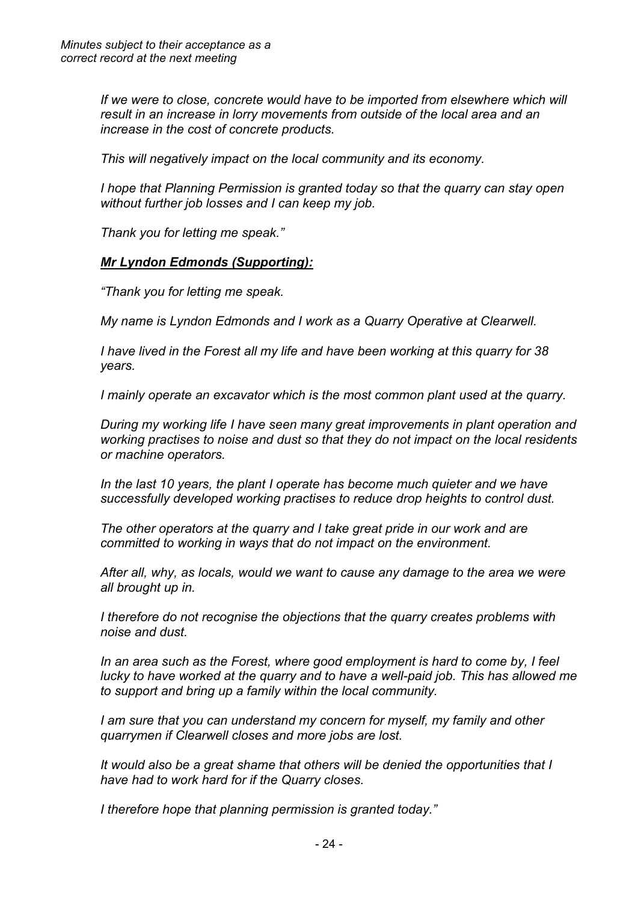*If we were to close, concrete would have to be imported from elsewhere which will result in an increase in lorry movements from outside of the local area and an increase in the cost of concrete products.*

*This will negatively impact on the local community and its economy.*

*I hope that Planning Permission is granted today so that the quarry can stay open without further job losses and I can keep my job.*

*Thank you for letting me speak."*

#### *Mr Lyndon Edmonds (Supporting):*

*"Thank you for letting me speak.*

*My name is Lyndon Edmonds and I work as a Quarry Operative at Clearwell.*

*I have lived in the Forest all my life and have been working at this quarry for 38 years.*

*I mainly operate an excavator which is the most common plant used at the quarry.*

*During my working life I have seen many great improvements in plant operation and working practises to noise and dust so that they do not impact on the local residents or machine operators.*

*In the last 10 years, the plant I operate has become much quieter and we have successfully developed working practises to reduce drop heights to control dust.* 

*The other operators at the quarry and I take great pride in our work and are committed to working in ways that do not impact on the environment.* 

*After all, why, as locals, would we want to cause any damage to the area we were all brought up in.*

*I therefore do not recognise the objections that the quarry creates problems with noise and dust.*

*In an area such as the Forest, where good employment is hard to come by, I feel lucky to have worked at the quarry and to have a well-paid job. This has allowed me to support and bring up a family within the local community.*

*I am sure that you can understand my concern for myself, my family and other quarrymen if Clearwell closes and more jobs are lost.*

*It would also be a great shame that others will be denied the opportunities that I have had to work hard for if the Quarry closes.*

*I therefore hope that planning permission is granted today."*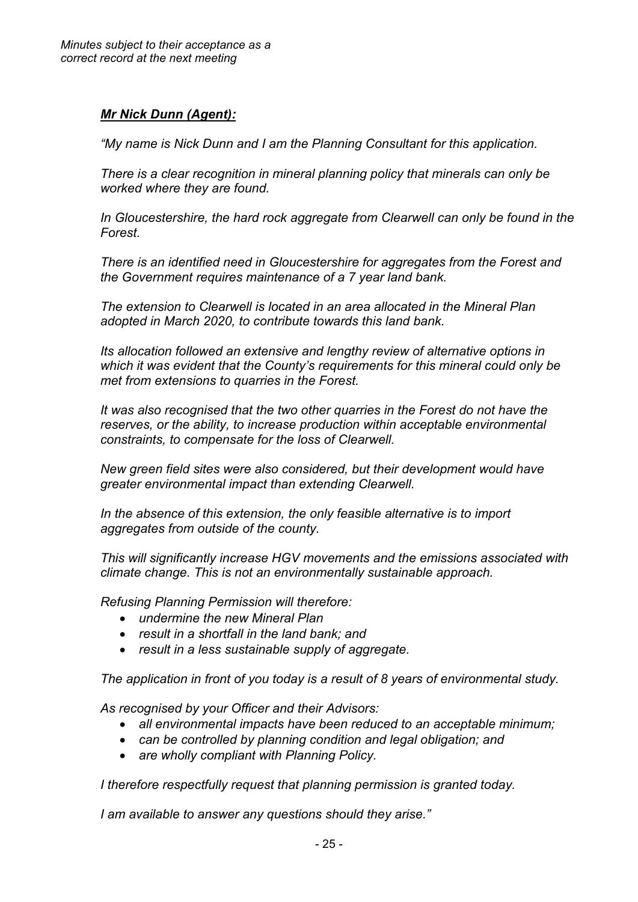## *Mr Nick Dunn (Agent):*

*"My name is Nick Dunn and I am the Planning Consultant for this application.*

*There is a clear recognition in mineral planning policy that minerals can only be worked where they are found.*

*In Gloucestershire, the hard rock aggregate from Clearwell can only be found in the Forest.*

*There is an identified need in Gloucestershire for aggregates from the Forest and the Government requires maintenance of a 7 year land bank.*

*The extension to Clearwell is located in an area allocated in the Mineral Plan adopted in March 2020, to contribute towards this land bank.*

*Its allocation followed an extensive and lengthy review of alternative options in which it was evident that the County's requirements for this mineral could only be met from extensions to quarries in the Forest.*

*It was also recognised that the two other quarries in the Forest do not have the reserves, or the ability, to increase production within acceptable environmental constraints, to compensate for the loss of Clearwell.*

*New green field sites were also considered, but their development would have greater environmental impact than extending Clearwell.*

*In the absence of this extension, the only feasible alternative is to import aggregates from outside of the county.*

*This will significantly increase HGV movements and the emissions associated with climate change. This is not an environmentally sustainable approach.*

*Refusing Planning Permission will therefore:*

- *undermine the new Mineral Plan*
- *result in a shortfall in the land bank; and*
- *result in a less sustainable supply of aggregate.*

*The application in front of you today is a result of 8 years of environmental study.*

*As recognised by your Officer and their Advisors:*

- *all environmental impacts have been reduced to an acceptable minimum;*
- *can be controlled by planning condition and legal obligation; and*
- *are wholly compliant with Planning Policy.*

*I therefore respectfully request that planning permission is granted today.* 

*I am available to answer any questions should they arise."*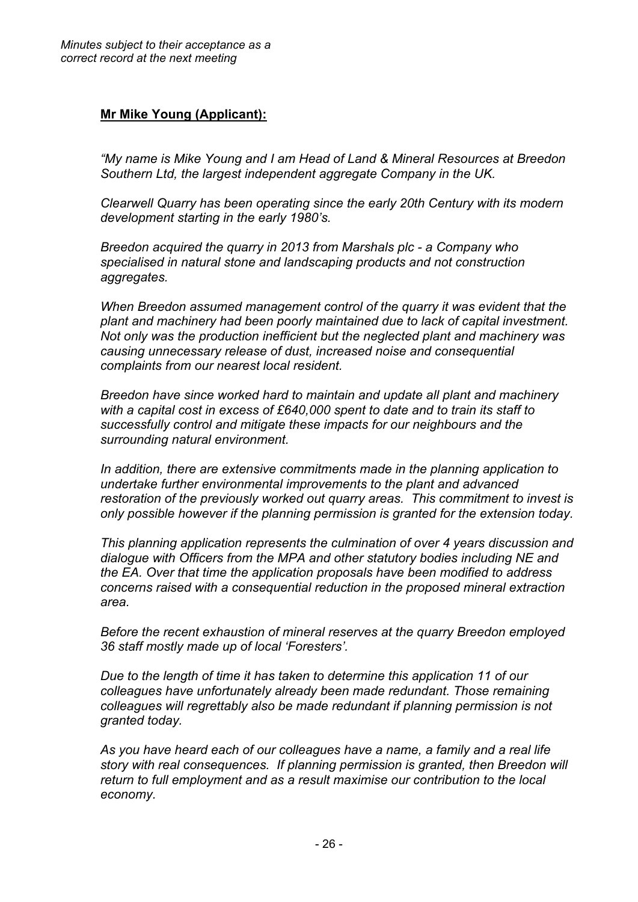## **Mr Mike Young (Applicant):**

*"My name is Mike Young and I am Head of Land & Mineral Resources at Breedon Southern Ltd, the largest independent aggregate Company in the UK.*

*Clearwell Quarry has been operating since the early 20th Century with its modern development starting in the early 1980's.*

*Breedon acquired the quarry in 2013 from Marshals plc - a Company who specialised in natural stone and landscaping products and not construction aggregates.*

*When Breedon assumed management control of the quarry it was evident that the plant and machinery had been poorly maintained due to lack of capital investment. Not only was the production inefficient but the neglected plant and machinery was causing unnecessary release of dust, increased noise and consequential complaints from our nearest local resident.*

*Breedon have since worked hard to maintain and update all plant and machinery with a capital cost in excess of £640,000 spent to date and to train its staff to successfully control and mitigate these impacts for our neighbours and the surrounding natural environment.*

*In addition, there are extensive commitments made in the planning application to undertake further environmental improvements to the plant and advanced restoration of the previously worked out quarry areas. This commitment to invest is only possible however if the planning permission is granted for the extension today.*

*This planning application represents the culmination of over 4 years discussion and dialogue with Officers from the MPA and other statutory bodies including NE and the EA. Over that time the application proposals have been modified to address concerns raised with a consequential reduction in the proposed mineral extraction area.*

*Before the recent exhaustion of mineral reserves at the quarry Breedon employed 36 staff mostly made up of local 'Foresters'.*

*Due to the length of time it has taken to determine this application 11 of our colleagues have unfortunately already been made redundant. Those remaining colleagues will regrettably also be made redundant if planning permission is not granted today.*

*As you have heard each of our colleagues have a name, a family and a real life story with real consequences. If planning permission is granted, then Breedon will return to full employment and as a result maximise our contribution to the local economy.*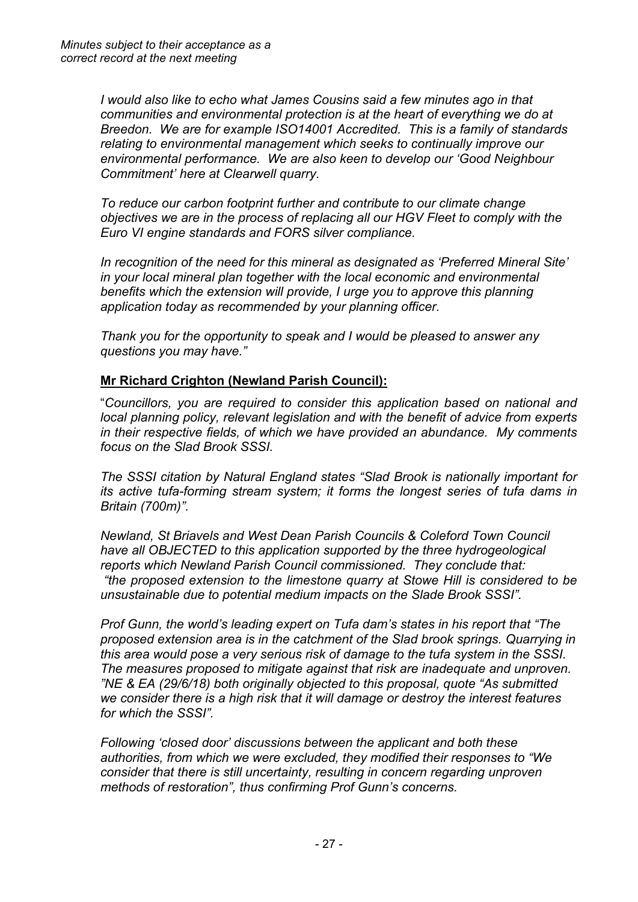*I would also like to echo what James Cousins said a few minutes ago in that communities and environmental protection is at the heart of everything we do at Breedon. We are for example ISO14001 Accredited. This is a family of standards relating to environmental management which seeks to continually improve our environmental performance. We are also keen to develop our 'Good Neighbour Commitment' here at Clearwell quarry.*

*To reduce our carbon footprint further and contribute to our climate change objectives we are in the process of replacing all our HGV Fleet to comply with the Euro VI engine standards and FORS silver compliance.*

*In recognition of the need for this mineral as designated as 'Preferred Mineral Site' in your local mineral plan together with the local economic and environmental benefits which the extension will provide, I urge you to approve this planning application today as recommended by your planning officer.*

*Thank you for the opportunity to speak and I would be pleased to answer any questions you may have."*

# **Mr Richard Crighton (Newland Parish Council):**

"*Councillors, you are required to consider this application based on national and local planning policy, relevant legislation and with the benefit of advice from experts in their respective fields, of which we have provided an abundance. My comments focus on the Slad Brook SSSI.*

*The SSSI citation by Natural England states "Slad Brook is nationally important for its active tufa-forming stream system; it forms the longest series of tufa dams in Britain (700m)".*

*Newland, St Briavels and West Dean Parish Councils & Coleford Town Council have all OBJECTED to this application supported by the three hydrogeological reports which Newland Parish Council commissioned. They conclude that: "the proposed extension to the limestone quarry at Stowe Hill is considered to be unsustainable due to potential medium impacts on the Slade Brook SSSI".*

*Prof Gunn, the world's leading expert on Tufa dam's states in his report that "The proposed extension area is in the catchment of the Slad brook springs. Quarrying in this area would pose a very serious risk of damage to the tufa system in the SSSI. The measures proposed to mitigate against that risk are inadequate and unproven. "NE & EA (29/6/18) both originally objected to this proposal, quote "As submitted we consider there is a high risk that it will damage or destroy the interest features for which the SSSI".*

*Following 'closed door' discussions between the applicant and both these authorities, from which we were excluded, they modified their responses to "We consider that there is still uncertainty, resulting in concern regarding unproven methods of restoration", thus confirming Prof Gunn's concerns.*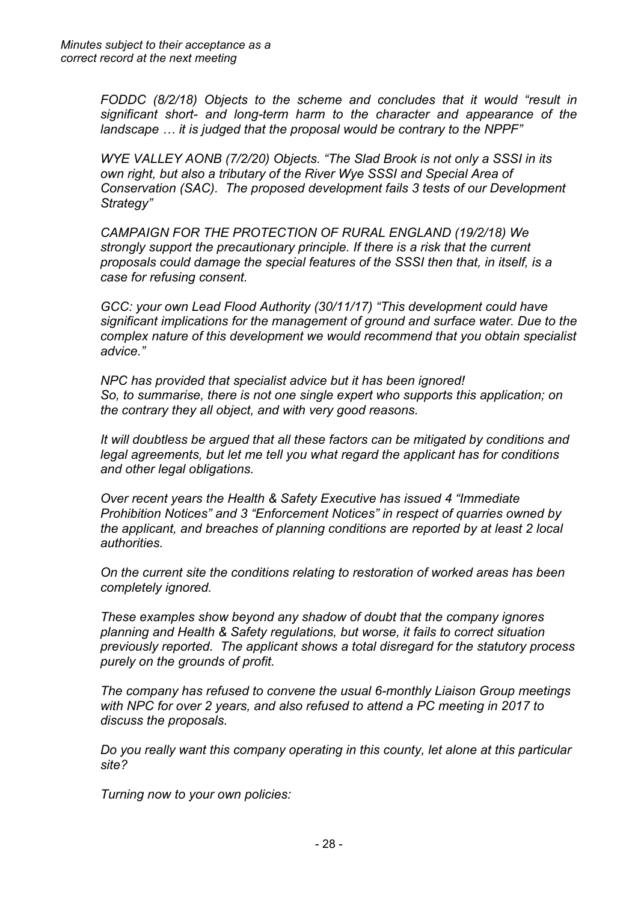*FODDC (8/2/18) Objects to the scheme and concludes that it would "result in significant short- and long-term harm to the character and appearance of the landscape … it is judged that the proposal would be contrary to the NPPF"*

*WYE VALLEY AONB (7/2/20) Objects. "The Slad Brook is not only a SSSI in its own right, but also a tributary of the River Wye SSSI and Special Area of Conservation (SAC). The proposed development fails 3 tests of our Development Strategy"*

*CAMPAIGN FOR THE PROTECTION OF RURAL ENGLAND (19/2/18) We strongly support the precautionary principle. If there is a risk that the current proposals could damage the special features of the SSSI then that, in itself, is a case for refusing consent.*

*GCC: your own Lead Flood Authority (30/11/17) "This development could have significant implications for the management of ground and surface water. Due to the complex nature of this development we would recommend that you obtain specialist advice."* 

*NPC has provided that specialist advice but it has been ignored! So, to summarise, there is not one single expert who supports this application; on the contrary they all object, and with very good reasons.*

*It will doubtless be argued that all these factors can be mitigated by conditions and legal agreements, but let me tell you what regard the applicant has for conditions and other legal obligations.*

*Over recent years the Health & Safety Executive has issued 4 "Immediate Prohibition Notices" and 3 "Enforcement Notices" in respect of quarries owned by the applicant, and breaches of planning conditions are reported by at least 2 local authorities.*

*On the current site the conditions relating to restoration of worked areas has been completely ignored.*

*These examples show beyond any shadow of doubt that the company ignores planning and Health & Safety regulations, but worse, it fails to correct situation previously reported. The applicant shows a total disregard for the statutory process purely on the grounds of profit.*

*The company has refused to convene the usual 6-monthly Liaison Group meetings with NPC for over 2 years, and also refused to attend a PC meeting in 2017 to discuss the proposals.*

*Do you really want this company operating in this county, let alone at this particular site?*

*Turning now to your own policies:*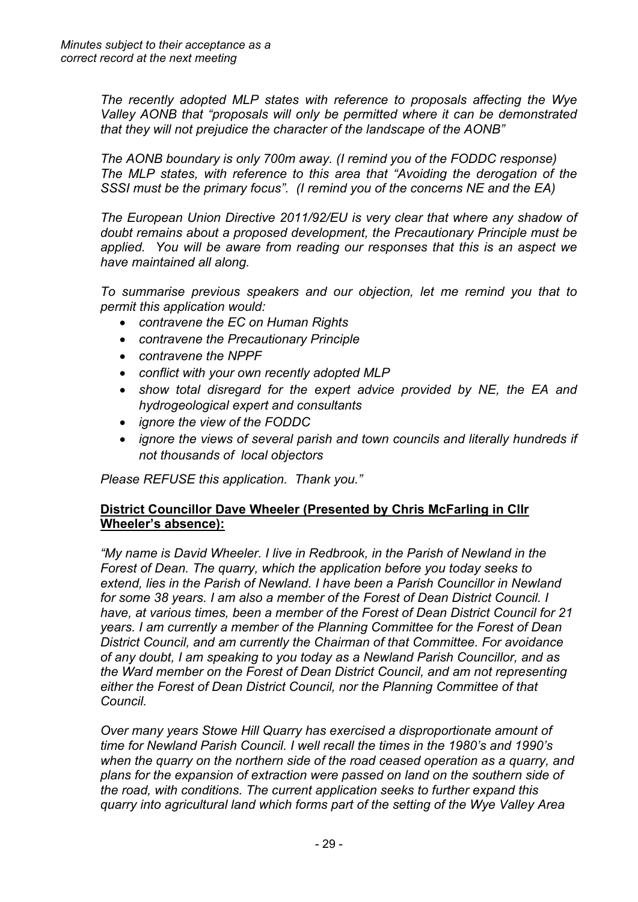*The recently adopted MLP states with reference to proposals affecting the Wye Valley AONB that "proposals will only be permitted where it can be demonstrated that they will not prejudice the character of the landscape of the AONB"*

*The AONB boundary is only 700m away. (I remind you of the FODDC response) The MLP states, with reference to this area that "Avoiding the derogation of the SSSI must be the primary focus". (I remind you of the concerns NE and the EA)* 

*The European Union Directive 2011/92/EU is very clear that where any shadow of doubt remains about a proposed development, the Precautionary Principle must be applied. You will be aware from reading our responses that this is an aspect we have maintained all along.*

*To summarise previous speakers and our objection, let me remind you that to permit this application would:*

- *contravene the EC on Human Rights*
- *contravene the Precautionary Principle*
- *contravene the NPPF*
- *conflict with your own recently adopted MLP*
- *show total disregard for the expert advice provided by NE, the EA and hydrogeological expert and consultants*
- *ignore the view of the FODDC*
- *ignore the views of several parish and town councils and literally hundreds if not thousands of local objectors*

*Please REFUSE this application. Thank you."*

## **District Councillor Dave Wheeler (Presented by Chris McFarling in Cllr Wheeler's absence):**

*"My name is David Wheeler. I live in Redbrook, in the Parish of Newland in the Forest of Dean. The quarry, which the application before you today seeks to extend, lies in the Parish of Newland. I have been a Parish Councillor in Newland for some 38 years. I am also a member of the Forest of Dean District Council. I have, at various times, been a member of the Forest of Dean District Council for 21 years. I am currently a member of the Planning Committee for the Forest of Dean District Council, and am currently the Chairman of that Committee. For avoidance of any doubt, I am speaking to you today as a Newland Parish Councillor, and as the Ward member on the Forest of Dean District Council, and am not representing either the Forest of Dean District Council, nor the Planning Committee of that Council.*

*Over many years Stowe Hill Quarry has exercised a disproportionate amount of time for Newland Parish Council. I well recall the times in the 1980's and 1990's when the quarry on the northern side of the road ceased operation as a quarry, and plans for the expansion of extraction were passed on land on the southern side of the road, with conditions. The current application seeks to further expand this quarry into agricultural land which forms part of the setting of the Wye Valley Area*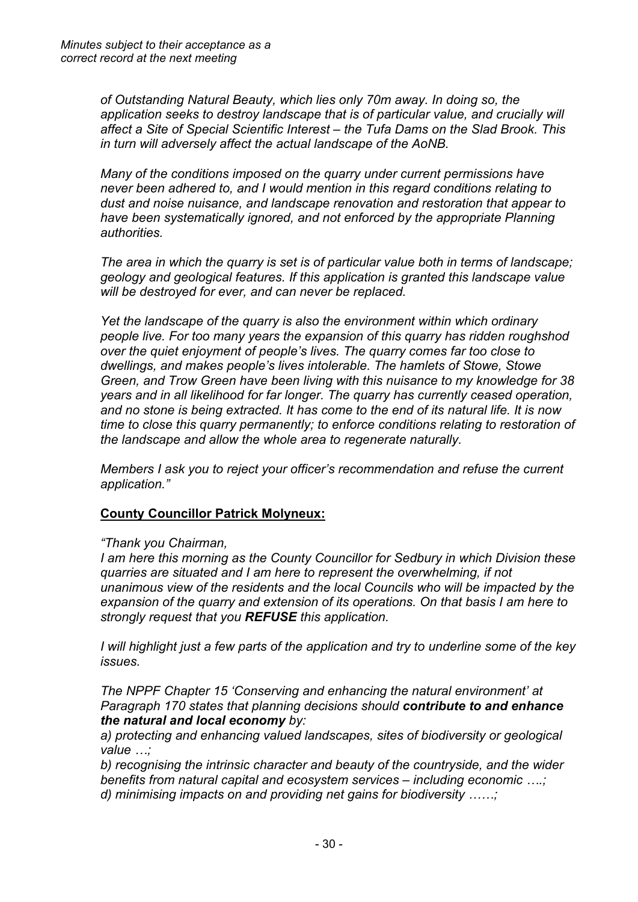*of Outstanding Natural Beauty, which lies only 70m away. In doing so, the application seeks to destroy landscape that is of particular value, and crucially will affect a Site of Special Scientific Interest – the Tufa Dams on the Slad Brook. This in turn will adversely affect the actual landscape of the AoNB.*

*Many of the conditions imposed on the quarry under current permissions have never been adhered to, and I would mention in this regard conditions relating to dust and noise nuisance, and landscape renovation and restoration that appear to have been systematically ignored, and not enforced by the appropriate Planning authorities.*

*The area in which the quarry is set is of particular value both in terms of landscape; geology and geological features. If this application is granted this landscape value will be destroyed for ever, and can never be replaced.*

*Yet the landscape of the quarry is also the environment within which ordinary people live. For too many years the expansion of this quarry has ridden roughshod over the quiet enjoyment of people's lives. The quarry comes far too close to dwellings, and makes people's lives intolerable. The hamlets of Stowe, Stowe Green, and Trow Green have been living with this nuisance to my knowledge for 38 years and in all likelihood for far longer. The quarry has currently ceased operation, and no stone is being extracted. It has come to the end of its natural life. It is now time to close this quarry permanently; to enforce conditions relating to restoration of the landscape and allow the whole area to regenerate naturally.*

*Members I ask you to reject your officer's recommendation and refuse the current application."*

# **County Councillor Patrick Molyneux:**

## *"Thank you Chairman,*

*I am here this morning as the County Councillor for Sedbury in which Division these quarries are situated and I am here to represent the overwhelming, if not unanimous view of the residents and the local Councils who will be impacted by the expansion of the quarry and extension of its operations. On that basis I am here to strongly request that you REFUSE this application.*

*I will highlight just a few parts of the application and try to underline some of the key issues.*

*The NPPF Chapter 15 'Conserving and enhancing the natural environment' at Paragraph 170 states that planning decisions should contribute to and enhance the natural and local economy by:*

*a) protecting and enhancing valued landscapes, sites of biodiversity or geological value …;*

*b) recognising the intrinsic character and beauty of the countryside, and the wider benefits from natural capital and ecosystem services – including economic ….; d) minimising impacts on and providing net gains for biodiversity ……;*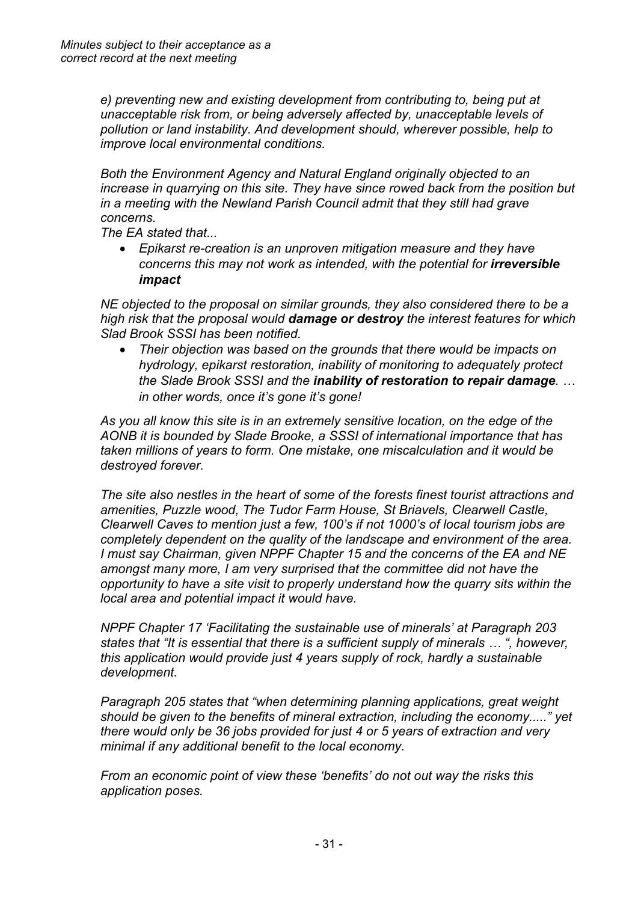*e) preventing new and existing development from contributing to, being put at unacceptable risk from, or being adversely affected by, unacceptable levels of pollution or land instability. And development should, wherever possible, help to improve local environmental conditions.*

*Both the Environment Agency and Natural England originally objected to an increase in quarrying on this site. They have since rowed back from the position but in a meeting with the Newland Parish Council admit that they still had grave concerns.*

*The EA stated that...*

 *Epikarst re-creation is an unproven mitigation measure and they have concerns this may not work as intended, with the potential for irreversible impact*

*NE objected to the proposal on similar grounds, they also considered there to be a high risk that the proposal would damage or destroy the interest features for which Slad Brook SSSI has been notified.*

 *Their objection was based on the grounds that there would be impacts on hydrology, epikarst restoration, inability of monitoring to adequately protect the Slade Brook SSSI and the inability of restoration to repair damage. … in other words, once it's gone it's gone!*

*As you all know this site is in an extremely sensitive location, on the edge of the AONB it is bounded by Slade Brooke, a SSSI of international importance that has taken millions of years to form. One mistake, one miscalculation and it would be destroyed forever.*

*The site also nestles in the heart of some of the forests finest tourist attractions and amenities, Puzzle wood, The Tudor Farm House, St Briavels, Clearwell Castle, Clearwell Caves to mention just a few, 100's if not 1000's of local tourism jobs are completely dependent on the quality of the landscape and environment of the area. I must say Chairman, given NPPF Chapter 15 and the concerns of the EA and NE amongst many more, I am very surprised that the committee did not have the opportunity to have a site visit to properly understand how the quarry sits within the local area and potential impact it would have.*

*NPPF Chapter 17 'Facilitating the sustainable use of minerals' at Paragraph 203 states that "It is essential that there is a sufficient supply of minerals … ", however, this application would provide just 4 years supply of rock, hardly a sustainable development.*

*Paragraph 205 states that "when determining planning applications, great weight should be given to the benefits of mineral extraction, including the economy....." yet there would only be 36 jobs provided for just 4 or 5 years of extraction and very minimal if any additional benefit to the local economy.*

*From an economic point of view these 'benefits' do not out way the risks this application poses.*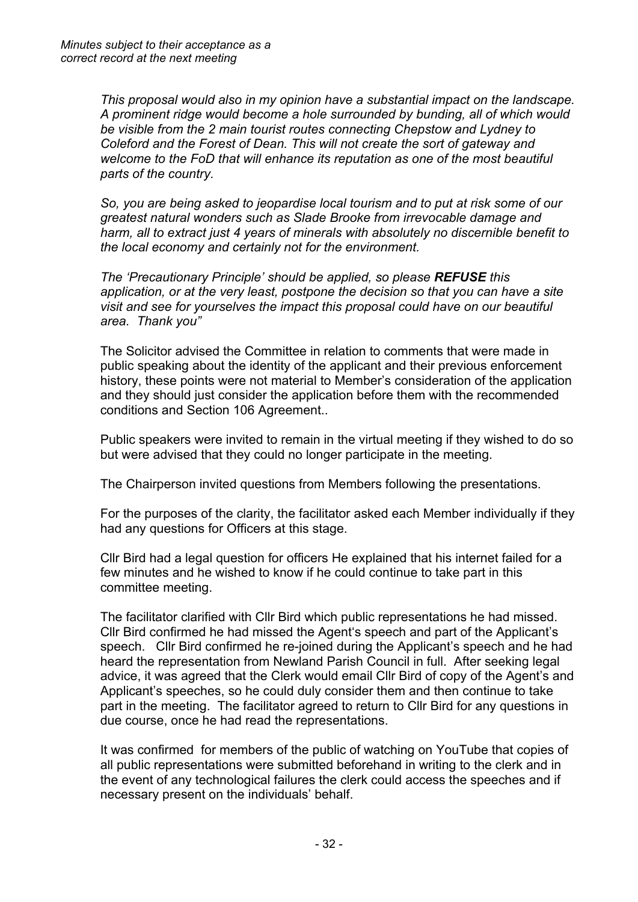*This proposal would also in my opinion have a substantial impact on the landscape. A prominent ridge would become a hole surrounded by bunding, all of which would be visible from the 2 main tourist routes connecting Chepstow and Lydney to Coleford and the Forest of Dean. This will not create the sort of gateway and welcome to the FoD that will enhance its reputation as one of the most beautiful parts of the country.*

*So, you are being asked to jeopardise local tourism and to put at risk some of our greatest natural wonders such as Slade Brooke from irrevocable damage and harm, all to extract just 4 years of minerals with absolutely no discernible benefit to the local economy and certainly not for the environment.*

*The 'Precautionary Principle' should be applied, so please REFUSE this application, or at the very least, postpone the decision so that you can have a site visit and see for yourselves the impact this proposal could have on our beautiful area. Thank you"*

The Solicitor advised the Committee in relation to comments that were made in public speaking about the identity of the applicant and their previous enforcement history, these points were not material to Member's consideration of the application and they should just consider the application before them with the recommended conditions and Section 106 Agreement..

Public speakers were invited to remain in the virtual meeting if they wished to do so but were advised that they could no longer participate in the meeting.

The Chairperson invited questions from Members following the presentations.

For the purposes of the clarity, the facilitator asked each Member individually if they had any questions for Officers at this stage.

Cllr Bird had a legal question for officers He explained that his internet failed for a few minutes and he wished to know if he could continue to take part in this committee meeting.

The facilitator clarified with Cllr Bird which public representations he had missed. Cllr Bird confirmed he had missed the Agent's speech and part of the Applicant's speech. Cllr Bird confirmed he re-joined during the Applicant's speech and he had heard the representation from Newland Parish Council in full. After seeking legal advice, it was agreed that the Clerk would email Cllr Bird of copy of the Agent's and Applicant's speeches, so he could duly consider them and then continue to take part in the meeting. The facilitator agreed to return to Cllr Bird for any questions in due course, once he had read the representations.

It was confirmed for members of the public of watching on YouTube that copies of all public representations were submitted beforehand in writing to the clerk and in the event of any technological failures the clerk could access the speeches and if necessary present on the individuals' behalf.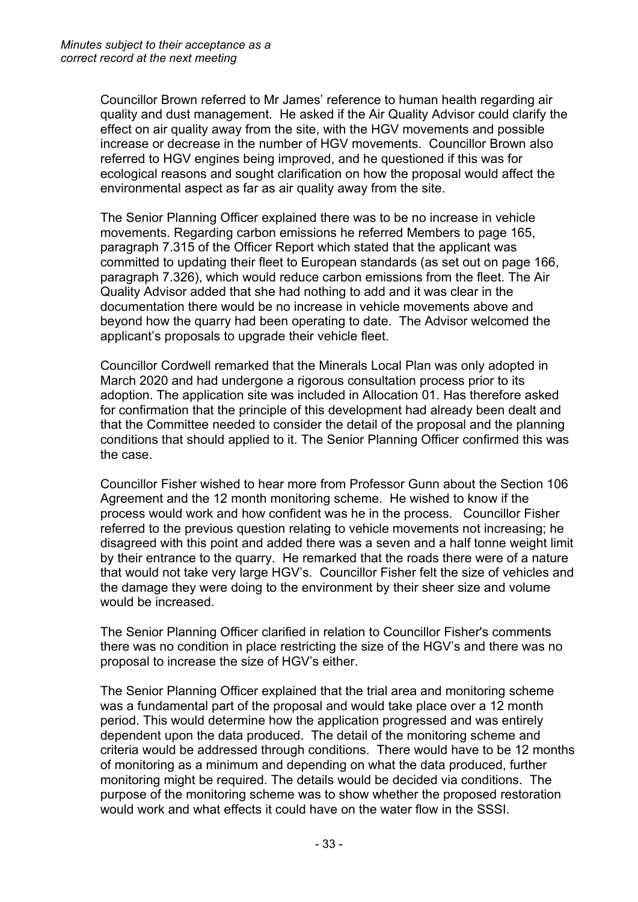Councillor Brown referred to Mr James' reference to human health regarding air quality and dust management. He asked if the Air Quality Advisor could clarify the effect on air quality away from the site, with the HGV movements and possible increase or decrease in the number of HGV movements. Councillor Brown also referred to HGV engines being improved, and he questioned if this was for ecological reasons and sought clarification on how the proposal would affect the environmental aspect as far as air quality away from the site.

The Senior Planning Officer explained there was to be no increase in vehicle movements. Regarding carbon emissions he referred Members to page 165, paragraph 7.315 of the Officer Report which stated that the applicant was committed to updating their fleet to European standards (as set out on page 166, paragraph 7.326), which would reduce carbon emissions from the fleet. The Air Quality Advisor added that she had nothing to add and it was clear in the documentation there would be no increase in vehicle movements above and beyond how the quarry had been operating to date. The Advisor welcomed the applicant's proposals to upgrade their vehicle fleet.

Councillor Cordwell remarked that the Minerals Local Plan was only adopted in March 2020 and had undergone a rigorous consultation process prior to its adoption. The application site was included in Allocation 01. Has therefore asked for confirmation that the principle of this development had already been dealt and that the Committee needed to consider the detail of the proposal and the planning conditions that should applied to it. The Senior Planning Officer confirmed this was the case.

Councillor Fisher wished to hear more from Professor Gunn about the Section 106 Agreement and the 12 month monitoring scheme. He wished to know if the process would work and how confident was he in the process. Councillor Fisher referred to the previous question relating to vehicle movements not increasing; he disagreed with this point and added there was a seven and a half tonne weight limit by their entrance to the quarry. He remarked that the roads there were of a nature that would not take very large HGV's. Councillor Fisher felt the size of vehicles and the damage they were doing to the environment by their sheer size and volume would be increased.

The Senior Planning Officer clarified in relation to Councillor Fisher's comments there was no condition in place restricting the size of the HGV's and there was no proposal to increase the size of HGV's either.

The Senior Planning Officer explained that the trial area and monitoring scheme was a fundamental part of the proposal and would take place over a 12 month period. This would determine how the application progressed and was entirely dependent upon the data produced. The detail of the monitoring scheme and criteria would be addressed through conditions. There would have to be 12 months of monitoring as a minimum and depending on what the data produced, further monitoring might be required. The details would be decided via conditions. The purpose of the monitoring scheme was to show whether the proposed restoration would work and what effects it could have on the water flow in the SSSI.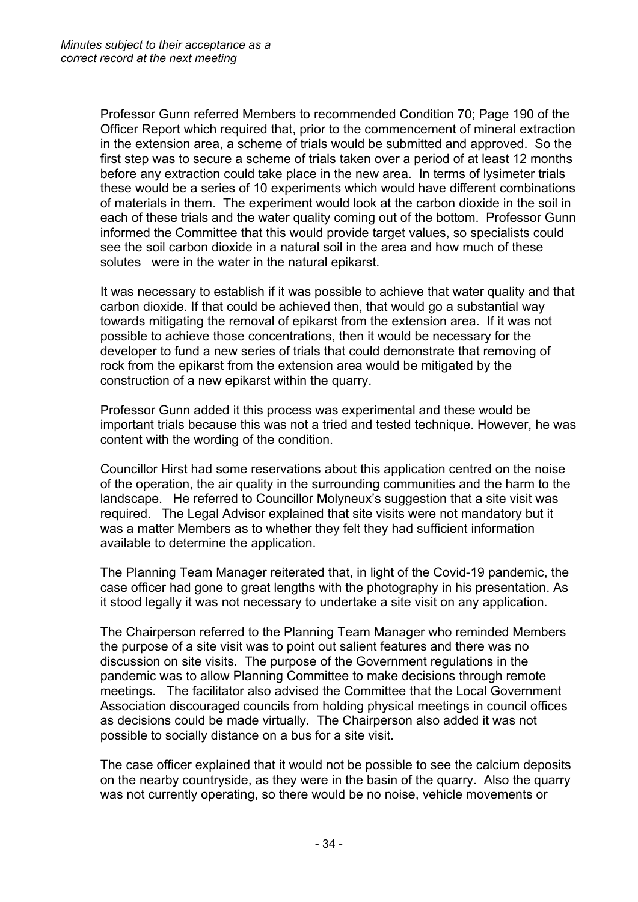Professor Gunn referred Members to recommended Condition 70; Page 190 of the Officer Report which required that, prior to the commencement of mineral extraction in the extension area, a scheme of trials would be submitted and approved. So the first step was to secure a scheme of trials taken over a period of at least 12 months before any extraction could take place in the new area. In terms of lysimeter trials these would be a series of 10 experiments which would have different combinations of materials in them. The experiment would look at the carbon dioxide in the soil in each of these trials and the water quality coming out of the bottom. Professor Gunn informed the Committee that this would provide target values, so specialists could see the soil carbon dioxide in a natural soil in the area and how much of these solutes were in the water in the natural epikarst.

It was necessary to establish if it was possible to achieve that water quality and that carbon dioxide. If that could be achieved then, that would go a substantial way towards mitigating the removal of epikarst from the extension area. If it was not possible to achieve those concentrations, then it would be necessary for the developer to fund a new series of trials that could demonstrate that removing of rock from the epikarst from the extension area would be mitigated by the construction of a new epikarst within the quarry.

Professor Gunn added it this process was experimental and these would be important trials because this was not a tried and tested technique. However, he was content with the wording of the condition.

Councillor Hirst had some reservations about this application centred on the noise of the operation, the air quality in the surrounding communities and the harm to the landscape. He referred to Councillor Molyneux's suggestion that a site visit was required. The Legal Advisor explained that site visits were not mandatory but it was a matter Members as to whether they felt they had sufficient information available to determine the application.

The Planning Team Manager reiterated that, in light of the Covid-19 pandemic, the case officer had gone to great lengths with the photography in his presentation. As it stood legally it was not necessary to undertake a site visit on any application.

The Chairperson referred to the Planning Team Manager who reminded Members the purpose of a site visit was to point out salient features and there was no discussion on site visits. The purpose of the Government regulations in the pandemic was to allow Planning Committee to make decisions through remote meetings. The facilitator also advised the Committee that the Local Government Association discouraged councils from holding physical meetings in council offices as decisions could be made virtually. The Chairperson also added it was not possible to socially distance on a bus for a site visit.

The case officer explained that it would not be possible to see the calcium deposits on the nearby countryside, as they were in the basin of the quarry. Also the quarry was not currently operating, so there would be no noise, vehicle movements or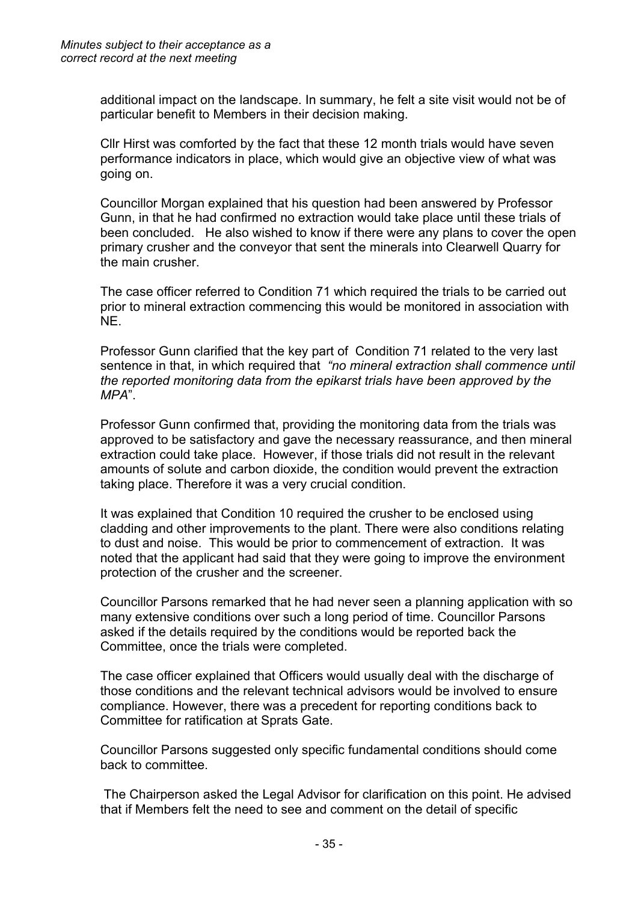additional impact on the landscape. In summary, he felt a site visit would not be of particular benefit to Members in their decision making.

Cllr Hirst was comforted by the fact that these 12 month trials would have seven performance indicators in place, which would give an objective view of what was going on.

Councillor Morgan explained that his question had been answered by Professor Gunn, in that he had confirmed no extraction would take place until these trials of been concluded. He also wished to know if there were any plans to cover the open primary crusher and the conveyor that sent the minerals into Clearwell Quarry for the main crusher.

The case officer referred to Condition 71 which required the trials to be carried out prior to mineral extraction commencing this would be monitored in association with NE.

Professor Gunn clarified that the key part of Condition 71 related to the very last sentence in that, in which required that *"no mineral extraction shall commence until the reported monitoring data from the epikarst trials have been approved by the MPA*".

Professor Gunn confirmed that, providing the monitoring data from the trials was approved to be satisfactory and gave the necessary reassurance, and then mineral extraction could take place. However, if those trials did not result in the relevant amounts of solute and carbon dioxide, the condition would prevent the extraction taking place. Therefore it was a very crucial condition.

It was explained that Condition 10 required the crusher to be enclosed using cladding and other improvements to the plant. There were also conditions relating to dust and noise. This would be prior to commencement of extraction. It was noted that the applicant had said that they were going to improve the environment protection of the crusher and the screener.

Councillor Parsons remarked that he had never seen a planning application with so many extensive conditions over such a long period of time. Councillor Parsons asked if the details required by the conditions would be reported back the Committee, once the trials were completed.

The case officer explained that Officers would usually deal with the discharge of those conditions and the relevant technical advisors would be involved to ensure compliance. However, there was a precedent for reporting conditions back to Committee for ratification at Sprats Gate.

Councillor Parsons suggested only specific fundamental conditions should come back to committee.

The Chairperson asked the Legal Advisor for clarification on this point. He advised that if Members felt the need to see and comment on the detail of specific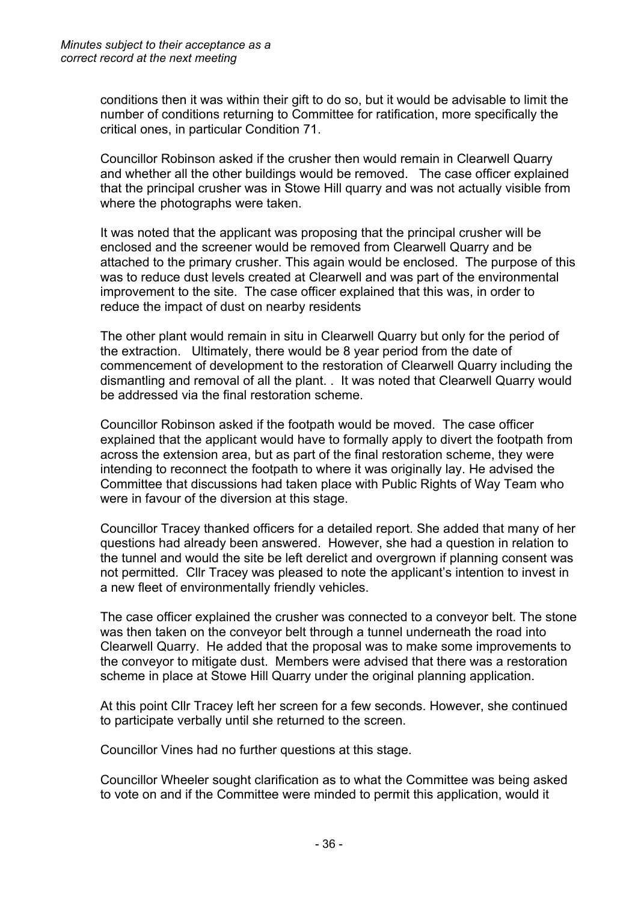conditions then it was within their gift to do so, but it would be advisable to limit the number of conditions returning to Committee for ratification, more specifically the critical ones, in particular Condition 71.

Councillor Robinson asked if the crusher then would remain in Clearwell Quarry and whether all the other buildings would be removed. The case officer explained that the principal crusher was in Stowe Hill quarry and was not actually visible from where the photographs were taken.

It was noted that the applicant was proposing that the principal crusher will be enclosed and the screener would be removed from Clearwell Quarry and be attached to the primary crusher. This again would be enclosed. The purpose of this was to reduce dust levels created at Clearwell and was part of the environmental improvement to the site. The case officer explained that this was, in order to reduce the impact of dust on nearby residents

The other plant would remain in situ in Clearwell Quarry but only for the period of the extraction. Ultimately, there would be 8 year period from the date of commencement of development to the restoration of Clearwell Quarry including the dismantling and removal of all the plant. . It was noted that Clearwell Quarry would be addressed via the final restoration scheme.

Councillor Robinson asked if the footpath would be moved. The case officer explained that the applicant would have to formally apply to divert the footpath from across the extension area, but as part of the final restoration scheme, they were intending to reconnect the footpath to where it was originally lay. He advised the Committee that discussions had taken place with Public Rights of Way Team who were in favour of the diversion at this stage.

Councillor Tracey thanked officers for a detailed report. She added that many of her questions had already been answered. However, she had a question in relation to the tunnel and would the site be left derelict and overgrown if planning consent was not permitted. Cllr Tracey was pleased to note the applicant's intention to invest in a new fleet of environmentally friendly vehicles.

The case officer explained the crusher was connected to a conveyor belt. The stone was then taken on the conveyor belt through a tunnel underneath the road into Clearwell Quarry. He added that the proposal was to make some improvements to the conveyor to mitigate dust. Members were advised that there was a restoration scheme in place at Stowe Hill Quarry under the original planning application.

At this point Cllr Tracey left her screen for a few seconds. However, she continued to participate verbally until she returned to the screen.

Councillor Vines had no further questions at this stage.

Councillor Wheeler sought clarification as to what the Committee was being asked to vote on and if the Committee were minded to permit this application, would it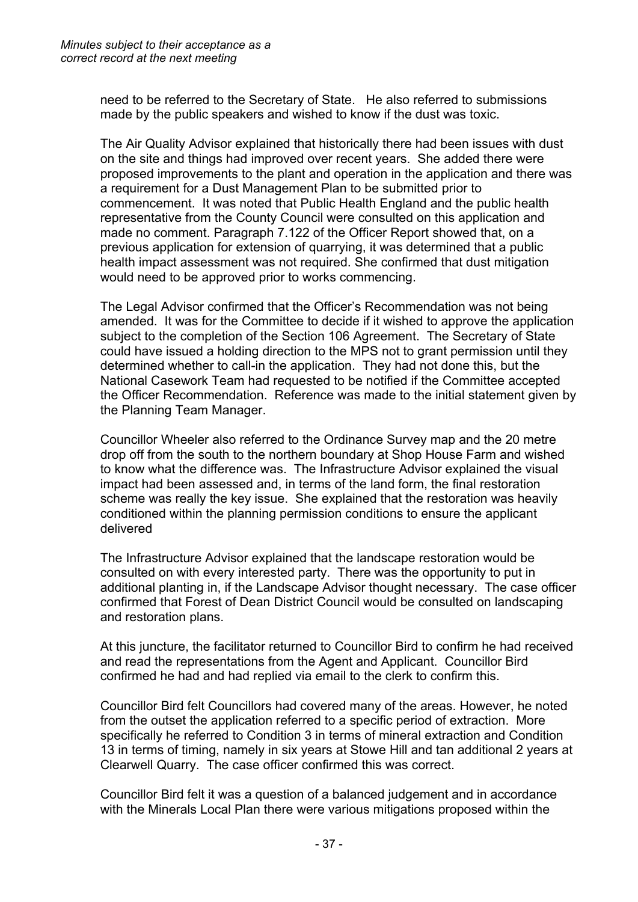need to be referred to the Secretary of State. He also referred to submissions made by the public speakers and wished to know if the dust was toxic.

The Air Quality Advisor explained that historically there had been issues with dust on the site and things had improved over recent years. She added there were proposed improvements to the plant and operation in the application and there was a requirement for a Dust Management Plan to be submitted prior to commencement. It was noted that Public Health England and the public health representative from the County Council were consulted on this application and made no comment. Paragraph 7.122 of the Officer Report showed that, on a previous application for extension of quarrying, it was determined that a public health impact assessment was not required. She confirmed that dust mitigation would need to be approved prior to works commencing.

The Legal Advisor confirmed that the Officer's Recommendation was not being amended. It was for the Committee to decide if it wished to approve the application subject to the completion of the Section 106 Agreement. The Secretary of State could have issued a holding direction to the MPS not to grant permission until they determined whether to call-in the application. They had not done this, but the National Casework Team had requested to be notified if the Committee accepted the Officer Recommendation. Reference was made to the initial statement given by the Planning Team Manager.

Councillor Wheeler also referred to the Ordinance Survey map and the 20 metre drop off from the south to the northern boundary at Shop House Farm and wished to know what the difference was. The Infrastructure Advisor explained the visual impact had been assessed and, in terms of the land form, the final restoration scheme was really the key issue. She explained that the restoration was heavily conditioned within the planning permission conditions to ensure the applicant delivered

The Infrastructure Advisor explained that the landscape restoration would be consulted on with every interested party. There was the opportunity to put in additional planting in, if the Landscape Advisor thought necessary. The case officer confirmed that Forest of Dean District Council would be consulted on landscaping and restoration plans.

At this juncture, the facilitator returned to Councillor Bird to confirm he had received and read the representations from the Agent and Applicant. Councillor Bird confirmed he had and had replied via email to the clerk to confirm this.

Councillor Bird felt Councillors had covered many of the areas. However, he noted from the outset the application referred to a specific period of extraction. More specifically he referred to Condition 3 in terms of mineral extraction and Condition 13 in terms of timing, namely in six years at Stowe Hill and tan additional 2 years at Clearwell Quarry. The case officer confirmed this was correct.

Councillor Bird felt it was a question of a balanced judgement and in accordance with the Minerals Local Plan there were various mitigations proposed within the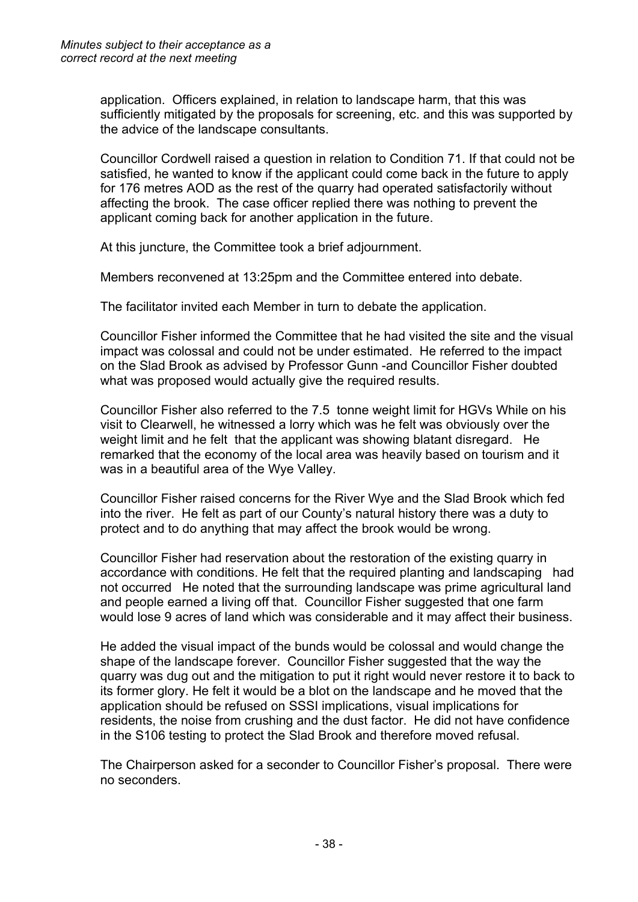application. Officers explained, in relation to landscape harm, that this was sufficiently mitigated by the proposals for screening, etc. and this was supported by the advice of the landscape consultants.

Councillor Cordwell raised a question in relation to Condition 71. If that could not be satisfied, he wanted to know if the applicant could come back in the future to apply for 176 metres AOD as the rest of the quarry had operated satisfactorily without affecting the brook. The case officer replied there was nothing to prevent the applicant coming back for another application in the future.

At this juncture, the Committee took a brief adjournment.

Members reconvened at 13:25pm and the Committee entered into debate.

The facilitator invited each Member in turn to debate the application.

Councillor Fisher informed the Committee that he had visited the site and the visual impact was colossal and could not be under estimated. He referred to the impact on the Slad Brook as advised by Professor Gunn -and Councillor Fisher doubted what was proposed would actually give the required results.

Councillor Fisher also referred to the 7.5 tonne weight limit for HGVs While on his visit to Clearwell, he witnessed a lorry which was he felt was obviously over the weight limit and he felt that the applicant was showing blatant disregard. He remarked that the economy of the local area was heavily based on tourism and it was in a beautiful area of the Wye Valley.

Councillor Fisher raised concerns for the River Wye and the Slad Brook which fed into the river. He felt as part of our County's natural history there was a duty to protect and to do anything that may affect the brook would be wrong.

Councillor Fisher had reservation about the restoration of the existing quarry in accordance with conditions. He felt that the required planting and landscaping had not occurred He noted that the surrounding landscape was prime agricultural land and people earned a living off that. Councillor Fisher suggested that one farm would lose 9 acres of land which was considerable and it may affect their business.

He added the visual impact of the bunds would be colossal and would change the shape of the landscape forever. Councillor Fisher suggested that the way the quarry was dug out and the mitigation to put it right would never restore it to back to its former glory. He felt it would be a blot on the landscape and he moved that the application should be refused on SSSI implications, visual implications for residents, the noise from crushing and the dust factor. He did not have confidence in the S106 testing to protect the Slad Brook and therefore moved refusal.

The Chairperson asked for a seconder to Councillor Fisher's proposal. There were no seconders.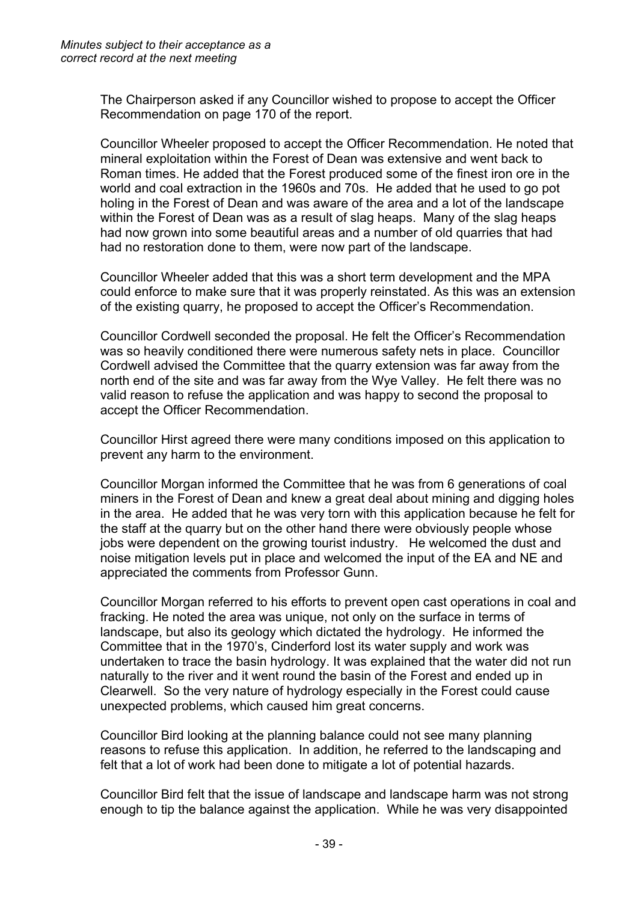The Chairperson asked if any Councillor wished to propose to accept the Officer Recommendation on page 170 of the report.

Councillor Wheeler proposed to accept the Officer Recommendation. He noted that mineral exploitation within the Forest of Dean was extensive and went back to Roman times. He added that the Forest produced some of the finest iron ore in the world and coal extraction in the 1960s and 70s. He added that he used to go pot holing in the Forest of Dean and was aware of the area and a lot of the landscape within the Forest of Dean was as a result of slag heaps. Many of the slag heaps had now grown into some beautiful areas and a number of old quarries that had had no restoration done to them, were now part of the landscape.

Councillor Wheeler added that this was a short term development and the MPA could enforce to make sure that it was properly reinstated. As this was an extension of the existing quarry, he proposed to accept the Officer's Recommendation.

Councillor Cordwell seconded the proposal. He felt the Officer's Recommendation was so heavily conditioned there were numerous safety nets in place. Councillor Cordwell advised the Committee that the quarry extension was far away from the north end of the site and was far away from the Wye Valley. He felt there was no valid reason to refuse the application and was happy to second the proposal to accept the Officer Recommendation.

Councillor Hirst agreed there were many conditions imposed on this application to prevent any harm to the environment.

Councillor Morgan informed the Committee that he was from 6 generations of coal miners in the Forest of Dean and knew a great deal about mining and digging holes in the area. He added that he was very torn with this application because he felt for the staff at the quarry but on the other hand there were obviously people whose jobs were dependent on the growing tourist industry. He welcomed the dust and noise mitigation levels put in place and welcomed the input of the EA and NE and appreciated the comments from Professor Gunn.

Councillor Morgan referred to his efforts to prevent open cast operations in coal and fracking. He noted the area was unique, not only on the surface in terms of landscape, but also its geology which dictated the hydrology. He informed the Committee that in the 1970's, Cinderford lost its water supply and work was undertaken to trace the basin hydrology. It was explained that the water did not run naturally to the river and it went round the basin of the Forest and ended up in Clearwell. So the very nature of hydrology especially in the Forest could cause unexpected problems, which caused him great concerns.

Councillor Bird looking at the planning balance could not see many planning reasons to refuse this application. In addition, he referred to the landscaping and felt that a lot of work had been done to mitigate a lot of potential hazards.

Councillor Bird felt that the issue of landscape and landscape harm was not strong enough to tip the balance against the application. While he was very disappointed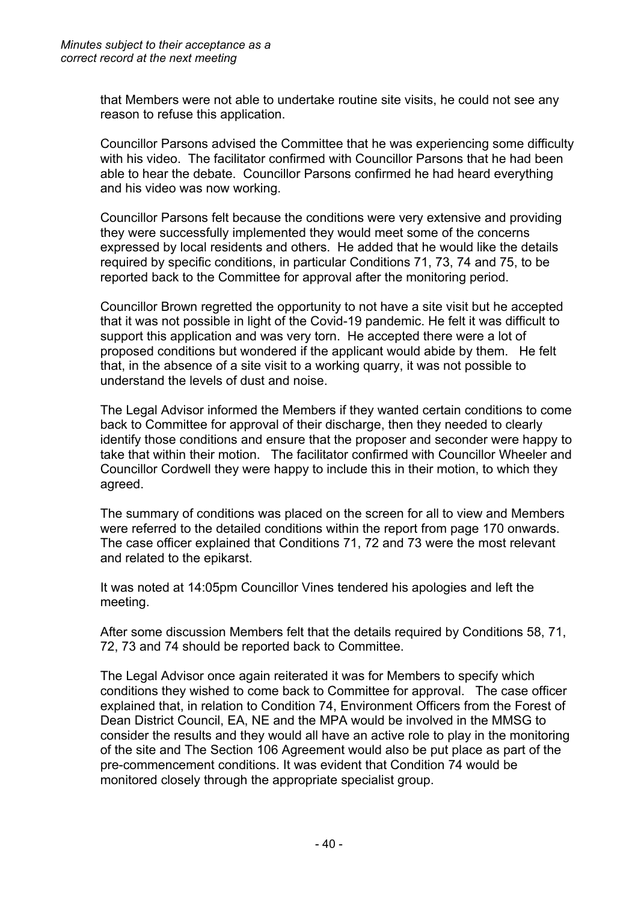that Members were not able to undertake routine site visits, he could not see any reason to refuse this application.

Councillor Parsons advised the Committee that he was experiencing some difficulty with his video. The facilitator confirmed with Councillor Parsons that he had been able to hear the debate. Councillor Parsons confirmed he had heard everything and his video was now working.

Councillor Parsons felt because the conditions were very extensive and providing they were successfully implemented they would meet some of the concerns expressed by local residents and others. He added that he would like the details required by specific conditions, in particular Conditions 71, 73, 74 and 75, to be reported back to the Committee for approval after the monitoring period.

Councillor Brown regretted the opportunity to not have a site visit but he accepted that it was not possible in light of the Covid-19 pandemic. He felt it was difficult to support this application and was very torn. He accepted there were a lot of proposed conditions but wondered if the applicant would abide by them. He felt that, in the absence of a site visit to a working quarry, it was not possible to understand the levels of dust and noise.

The Legal Advisor informed the Members if they wanted certain conditions to come back to Committee for approval of their discharge, then they needed to clearly identify those conditions and ensure that the proposer and seconder were happy to take that within their motion. The facilitator confirmed with Councillor Wheeler and Councillor Cordwell they were happy to include this in their motion, to which they agreed.

The summary of conditions was placed on the screen for all to view and Members were referred to the detailed conditions within the report from page 170 onwards. The case officer explained that Conditions 71, 72 and 73 were the most relevant and related to the epikarst.

It was noted at 14:05pm Councillor Vines tendered his apologies and left the meeting.

After some discussion Members felt that the details required by Conditions 58, 71, 72, 73 and 74 should be reported back to Committee.

The Legal Advisor once again reiterated it was for Members to specify which conditions they wished to come back to Committee for approval. The case officer explained that, in relation to Condition 74, Environment Officers from the Forest of Dean District Council, EA, NE and the MPA would be involved in the MMSG to consider the results and they would all have an active role to play in the monitoring of the site and The Section 106 Agreement would also be put place as part of the pre-commencement conditions. It was evident that Condition 74 would be monitored closely through the appropriate specialist group.